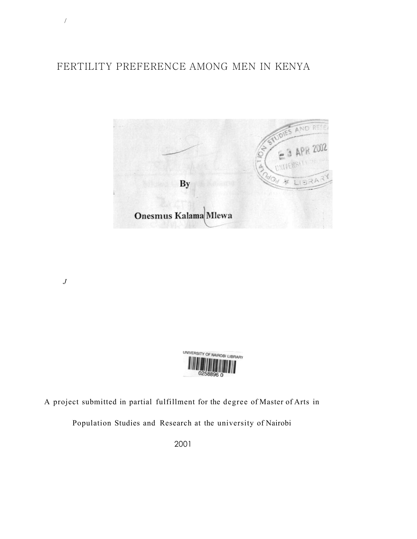# FERTILITY PREFERENCE AMONG MEN IN KENYA



*J* 

/



A project submitted in partial fulfillment for the degree of Master of Arts in

Population Studies and Research at the university of Nairobi

2001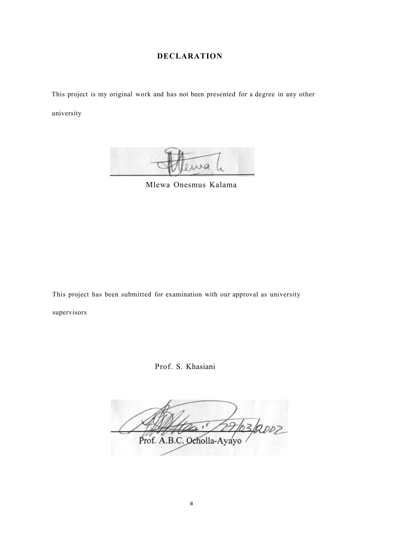## **DECLARATION**

<span id="page-1-0"></span>This project is my original work and has not been presented for a degree in any other

university



Mlewa Onesmus Kalama

This project has been submitted for examination with our approval as university supervisors

Prof. S. Khasiani

63/2002 Prof. A.B.C. Ocholla-Ayayo

**ii**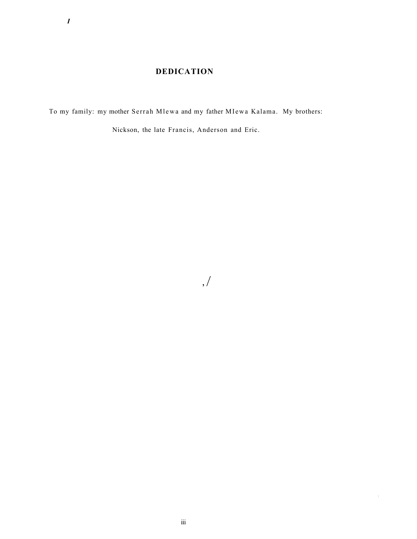## **DEDICATION**

<span id="page-2-0"></span>To my family: my mother Serrah Mlewa and my father MIewa Kalama. My brothers:

Nickson, the late Francis, Anderson and Eric.

, /

: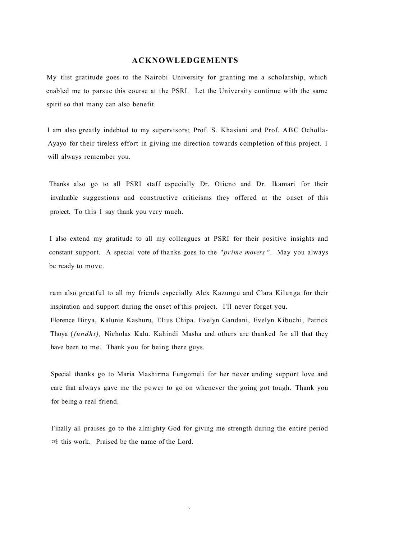## **ACKNOWLEDGEMENTS**

<span id="page-3-0"></span>My tlist gratitude goes to the Nairobi University for granting me a scholarship, which enabled me to parsue this course at the PSRI. Let the University continue with the same spirit so that many can also benefit.

l am also greatly indebted to my supervisors; Prof. S. Khasiani and Prof. ABC Ocholla-Ayayo for their tireless effort in giving me direction towards completion of this project. I will always remember you.

Thanks also go to all PSRI staff especially Dr. Otieno and Dr. Ikamari for their invaluable suggestions and constructive criticisms they offered at the onset of this project. To this 1 say thank you very much.

I also extend my gratitude to all my colleagues at PSRI for their positive insights and constant support. A special vote of thanks goes to the "*prime movers ".* May you always be ready to move.

ram also greatful to all my friends especially Alex Kazungu and Clara Kilunga for their inspiration and support during the onset of this project. I'll never forget you. Florence Birya, Kalunie Kashuru, Elius Chipa. Evelyn Gandani, Evelyn Kibuchi, Patrick Thoya (*fundhi),* Nicholas Kalu. Kahindi Masha and others are thanked for all that they have been to me. Thank you for being there guys.

Special thanks go to Maria Mashirma Fungomeli for her never ending support love and care that always gave me the power to go on whenever the going got tough. Thank you for being a real friend.

Finally all praises go to the almighty God for giving me strength during the entire period  $\gg$  this work. Praised be the name of the Lord.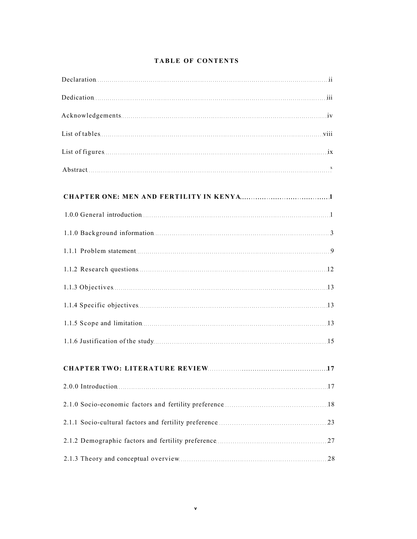|  |  | <b>TABLE OF CONTENTS</b> |
|--|--|--------------------------|
|--|--|--------------------------|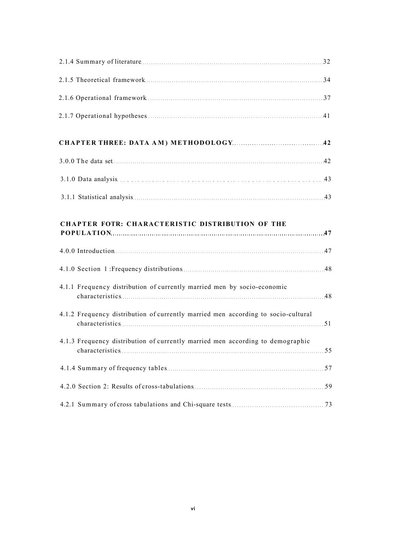| <b>CHAPTER FOTR: CHARACTERISTIC DISTRIBUTION OF THE</b>                           |
|-----------------------------------------------------------------------------------|
|                                                                                   |
|                                                                                   |
| 4.1.1 Frequency distribution of currently married men by socio-economic           |
| 4.1.2 Frequency distribution of currently married men according to socio-cultural |
| 4.1.3 Frequency distribution of currently married men according to demographic    |
|                                                                                   |
|                                                                                   |
|                                                                                   |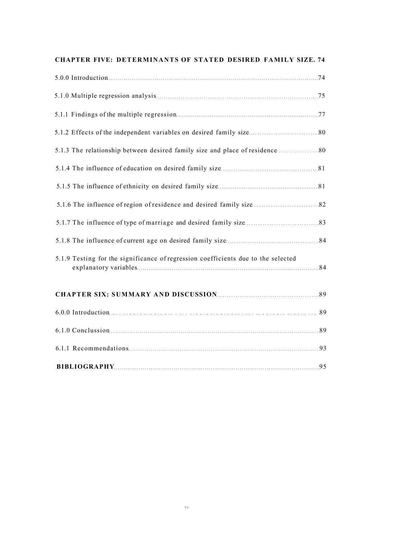| <b>CHAPTER FIVE: DETERMINANTS OF STATED DESIRED FAMILY SIZE. 74</b> |  |  |  |
|---------------------------------------------------------------------|--|--|--|
|                                                                     |  |  |  |

| 5.1.9 Testing for the significance of regression coefficients due to the selected |
|-----------------------------------------------------------------------------------|
|                                                                                   |
|                                                                                   |
|                                                                                   |
|                                                                                   |

| <b>BIBLIOGRAPHY</b> |  |
|---------------------|--|
|                     |  |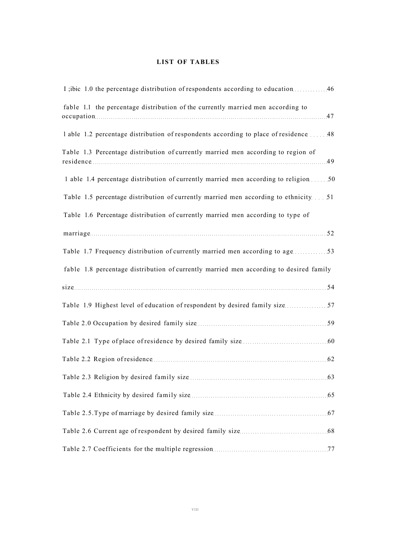## **LIST OF TABLES**

| I ;ibic 1.0 the percentage distribution of respondents according to education  46      |
|----------------------------------------------------------------------------------------|
| fable 1.1 the percentage distribution of the currently married men according to        |
| 1 able 1.2 percentage distribution of respondents according to place of residence  48  |
| Table 1.3 Percentage distribution of currently married men according to region of      |
| 1 able 1.4 percentage distribution of currently married men according to religion 50   |
| Table 1.5 percentage distribution of currently married men according to ethnicity 51   |
| Table 1.6 Percentage distribution of currently married men according to type of        |
|                                                                                        |
| Table 1.7 Frequency distribution of currently married men according to age  53         |
| fable 1.8 percentage distribution of currently married men according to desired family |
|                                                                                        |
| Table 1.9 Highest level of education of respondent by desired family size 57           |
|                                                                                        |
|                                                                                        |
|                                                                                        |
|                                                                                        |
|                                                                                        |
|                                                                                        |
|                                                                                        |
|                                                                                        |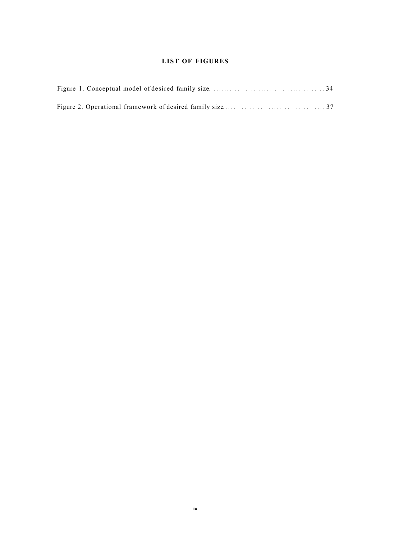## **LIST OF FIGURES**

<span id="page-8-0"></span>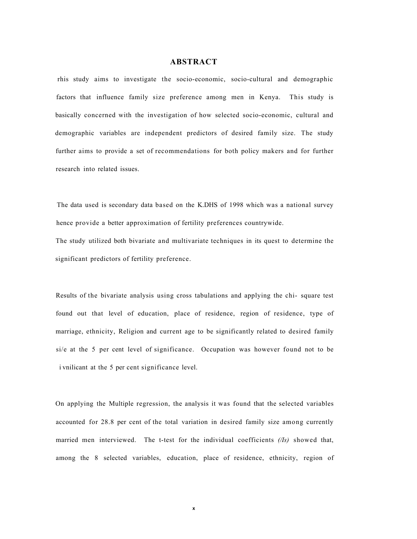## **ABSTRACT**

<span id="page-9-0"></span>rhis study aims to investigate the socio-economic, socio-cultural and demographic factors that influence family size preference among men in Kenya. This study is basically concerned with the investigation of how selected socio-economic, cultural and demographic variables are independent predictors of desired family size. The study further aims to provide a set of recommendations for both policy makers and for further research into related issues.

The data used is secondary data based on the K.DHS of 1998 which was a national survey hence provide a better approximation of fertility preferences countrywide.

The study utilized both bivariate and multivariate techniques in its quest to determine the significant predictors of fertility preference.

Results of the bivariate analysis using cross tabulations and applying the chi- square test found out that level of education, place of residence, region of residence, type of marriage, ethnicity, Religion and current age to be significantly related to desired family si/e at the 5 per cent level of significance. Occupation was however found not to be i vnilicant at the 5 per cent significance level.

On applying the Multiple regression, the analysis it was found that the selected variables accounted for 28.8 per cent of the total variation in desired family size among currently married men interviewed. The t-test for the individual coefficients *(/Is)* showed that, among the 8 selected variables, education, place of residence, ethnicity, region of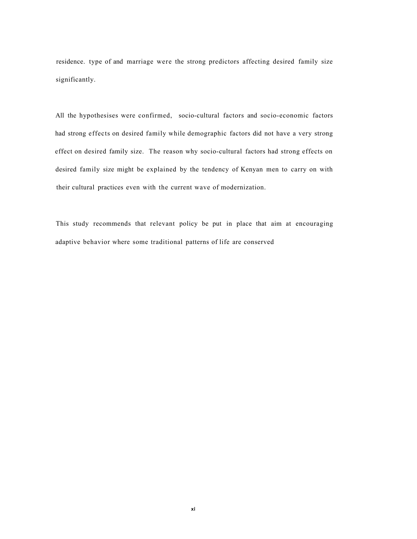residence. type of and marriage were the strong predictors affecting desired family size significantly.

All the hypothesises were confirmed, socio-cultural factors and socio-economic factors had strong effects on desired family while demographic factors did not have a very strong effect on desired family size. The reason why socio-cultural factors had strong effects on desired family size might be explained by the tendency of Kenyan men to carry on with their cultural practices even with the current wave of modernization.

This study recommends that relevant policy be put in place that aim at encouraging adaptive behavior where some traditional patterns of life are conserved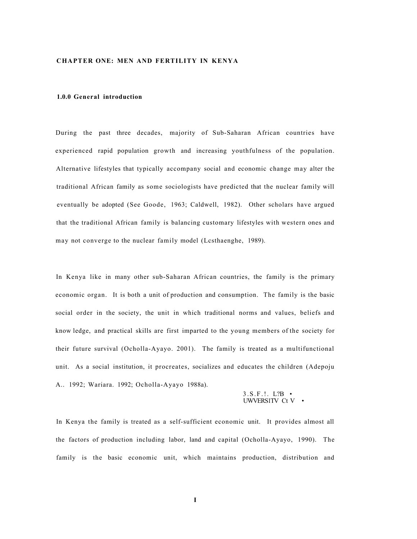#### **CHAPTER ONE: MEN AND FERTILITY IN KENYA**

#### **1.0.0 General introduction**

During the past three decades, majority of Sub-Saharan African countries have experienced rapid population growth and increasing youthfulness of the population. Alternative lifestyles that typically accompany social and economic change may alter the traditional African family as some sociologists have predicted that the nuclear family will eventually be adopted (See Goode, 1963; Caldwell, 1982). Other scholars have argued that the traditional African family is balancing customary lifestyles with western ones and may not converge to the nuclear family model (Lcsthaenghe, 1989).

In Kenya like in many other sub-Saharan African countries, the family is the primary economic organ. It is both a unit of production and consumption. The family is the basic social order in the society, the unit in which traditional norms and values, beliefs and know ledge, and practical skills are first imparted to the young members of the society for their future survival (Ocholla-Ayayo. 2001). The family is treated as a multifunctional unit. As a social institution, it procreates, socializes and educates the children (Adepoju A.. 1992; Wariara. 1992; Ocholla-Ayayo 1988a).

#### 3.S.F.!. L?B • UWVERS1TV Ct V •

In Kenya the family is treated as a self-sufficient economic unit. It provides almost all the factors of production including labor, land and capital (Ocholla-Ayayo, 1990). The family is the basic economic unit, which maintains production, distribution and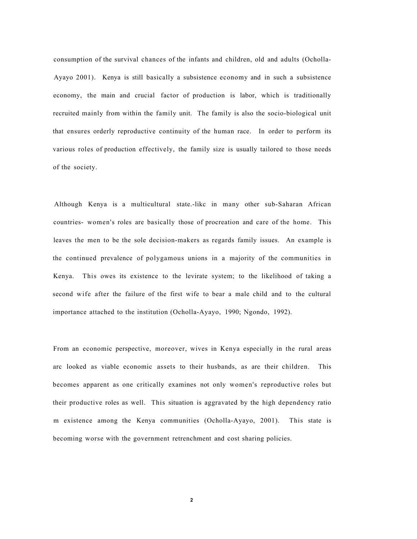consumption of the survival chances of the infants and children, old and adults (Ocholla-Ayayo 2001). Kenya is still basically a subsistence economy and in such a subsistence economy, the main and crucial factor of production is labor, which is traditionally recruited mainly from within the family unit. The family is also the socio-biological unit that ensures orderly reproductive continuity of the human race. In order to perform its various roles of production effectively, the family size is usually tailored to those needs of the society.

Although Kenya is a multicultural state.-likc in many other sub-Saharan African countries- women's roles are basically those of procreation and care of the home. This leaves the men to be the sole decision-makers as regards family issues. An example is the continued prevalence of polygamous unions in a majority of the communities in Kenya. This owes its existence to the levirate system; to the likelihood of taking a second wife after the failure of the first wife to bear a male child and to the cultural importance attached to the institution (Ocholla-Ayayo, 1990; Ngondo, 1992).

From an economic perspective, moreover, wives in Kenya especially in the rural areas arc looked as viable economic assets to their husbands, as are their children. This becomes apparent as one critically examines not only women's reproductive roles but their productive roles as well. This situation is aggravated by the high dependency ratio m existence among the Kenya communities (Ocholla-Ayayo, 2001). This state is becoming worse with the government retrenchment and cost sharing policies.

**2**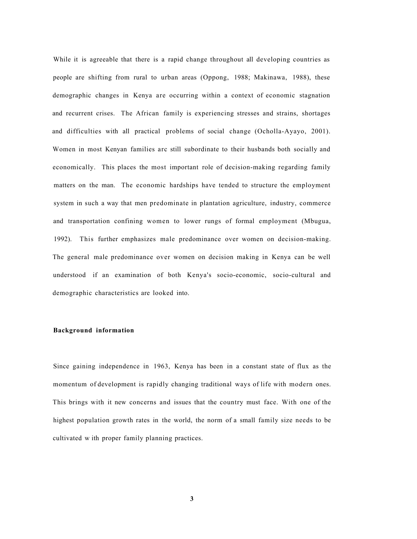While it is agreeable that there is a rapid change throughout all developing countries as people are shifting from rural to urban areas (Oppong, 1988; Makinawa, 1988), these demographic changes in Kenya are occurring within a context of economic stagnation and recurrent crises. The African family is experiencing stresses and strains, shortages and difficulties with all practical problems of social change (Ocholla-Ayayo, 2001). Women in most Kenyan families arc still subordinate to their husbands both socially and economically. This places the most important role of decision-making regarding family matters on the man. The economic hardships have tended to structure the employment system in such a way that men predominate in plantation agriculture, industry, commerce and transportation confining women to lower rungs of formal employment (Mbugua, 1992). This further emphasizes male predominance over women on decision-making. The general male predominance over women on decision making in Kenya can be well understood if an examination of both Kenya's socio-economic, socio-cultural and demographic characteristics are looked into.

#### <span id="page-13-0"></span>**Background information**

Since gaining independence in 1963, Kenya has been in a constant state of flux as the momentum of development is rapidly changing traditional ways of life with modern ones. This brings with it new concerns and issues that the country must face. With one of the highest population growth rates in the world, the norm of a small family size needs to be cultivated w ith proper family planning practices.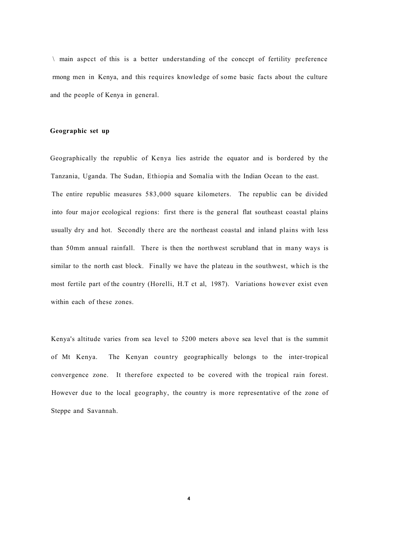$\ln$  main aspect of this is a better understanding of the concept of fertility preference rmong men in Kenya, and this requires knowledge of some basic facts about the culture and the people of Kenya in general.

#### **Geographic set up**

Geographically the republic of Kenya lies astride the equator and is bordered by the Tanzania, Uganda. The Sudan, Ethiopia and Somalia with the Indian Ocean to the east. The entire republic measures 583,000 square kilometers. The republic can be divided into four major ecological regions: first there is the general flat southeast coastal plains usually dry and hot. Secondly there are the northeast coastal and inland plains with less than 50mm annual rainfall. There is then the northwest scrubland that in many ways is similar to the north cast block. Finally we have the plateau in the southwest, which is the most fertile part of the country (Horelli, H.T ct al, 1987). Variations however exist even within each of these zones.

Kenya's altitude varies from sea level to 5200 meters above sea level that is the summit of Mt Kenya. The Kenyan country geographically belongs to the inter-tropical convergence zone. It therefore expected to be covered with the tropical rain forest. However due to the local geography, the country is more representative of the zone of Steppe and Savannah.

**4**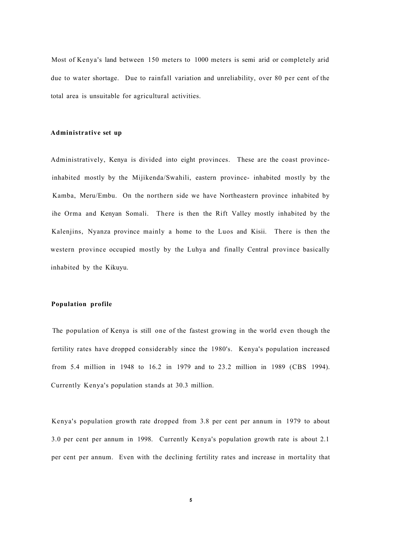Most of Kenya's land between 150 meters to 1000 meters is semi arid or completely arid due to water shortage. Due to rainfall variation and unreliability, over 80 per cent of the total area is unsuitable for agricultural activities.

#### **Administrative set up**

Administratively, Kenya is divided into eight provinces. These are the coast provinceinhabited mostly by the Mijikenda/Swahili, eastern province- inhabited mostly by the Kamba, Meru/Embu. On the northern side we have Northeastern province inhabited by ihe Orma and Kenyan Somali. There is then the Rift Valley mostly inhabited by the Kalenjins, Nyanza province mainly a home to the Luos and Kisii. There is then the western province occupied mostly by the Luhya and finally Central province basically inhabited by the Kikuyu.

#### **Population profile**

The population of Kenya is still one of the fastest growing in the world even though the fertility rates have dropped considerably since the 1980's. Kenya's population increased from 5.4 million in 1948 to 16.2 in 1979 and to 23.2 million in 1989 (CBS 1994). Currently Kenya's population stands at 30.3 million.

Kenya's population growth rate dropped from 3.8 per cent per annum in 1979 to about 3.0 per cent per annum in 1998. Currently Kenya's population growth rate is about 2.1 per cent per annum. Even with the declining fertility rates and increase in mortality that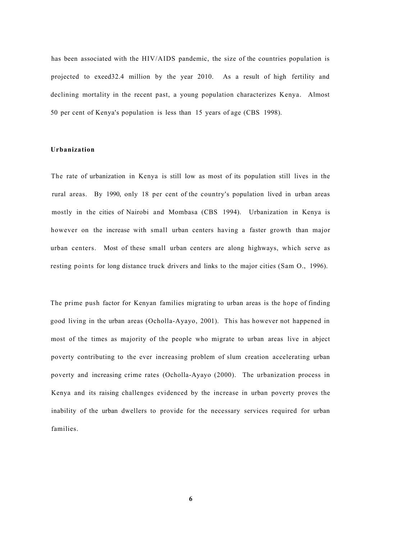has been associated with the HIV/AIDS pandemic, the size of the countries population is projected to exeed32.4 million by the year 2010. As a result of high fertility and declining mortality in the recent past, a young population characterizes Kenya. Almost 50 per cent of Kenya's population is less than 15 years of age (CBS 1998).

## **Urbanization**

The rate of urbanization in Kenya is still low as most of its population still lives in the rural areas. By 1990, only 18 per cent of the country's population lived in urban areas mostly in the cities of Nairobi and Mombasa (CBS 1994). Urbanization in Kenya is however on the increase with small urban centers having a faster growth than major urban centers. Most of these small urban centers are along highways, which serve as resting points for long distance truck drivers and links to the major cities (Sam O., 1996).

The prime push factor for Kenyan families migrating to urban areas is the hope of finding good living in the urban areas (Ocholla-Ayayo, 2001). This has however not happened in most of the times as majority of the people who migrate to urban areas live in abject poverty contributing to the ever increasing problem of slum creation accelerating urban poverty and increasing crime rates (Ocholla-Ayayo (2000). The urbanization process in Kenya and its raising challenges evidenced by the increase in urban poverty proves the inability of the urban dwellers to provide for the necessary services required for urban families.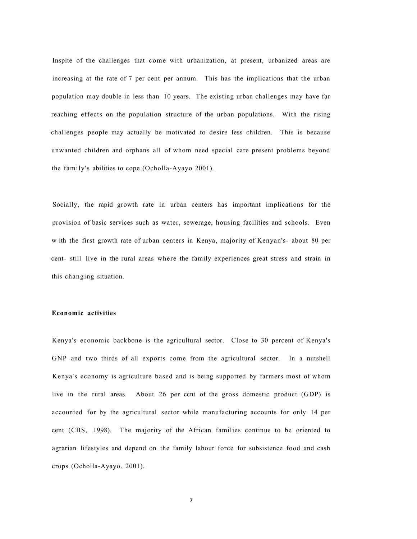Inspite of the challenges that come with urbanization, at present, urbanized areas are increasing at the rate of 7 per cent per annum. This has the implications that the urban population may double in less than 10 years. The existing urban challenges may have far reaching effects on the population structure of the urban populations. With the rising challenges people may actually be motivated to desire less children. This is because unwanted children and orphans all of whom need special care present problems beyond the family's abilities to cope (Ocholla-Ayayo 2001).

Socially, the rapid growth rate in urban centers has important implications for the provision of basic services such as water, sewerage, housing facilities and schools. Even w ith the first growth rate of urban centers in Kenya, majority of Kenyan's- about 80 per cent- still live in the rural areas where the family experiences great stress and strain in this changing situation.

#### **Economic activities**

Kenya's economic backbone is the agricultural sector. Close to 30 percent of Kenya's GNP and two thirds of all exports come from the agricultural sector. In a nutshell Kenya's economy is agriculture based and is being supported by farmers most of whom live in the rural areas. About 26 per ccnt of the gross domestic product (GDP) is accounted for by the agricultural sector while manufacturing accounts for only 14 per cent (CBS, 1998). The majority of the African families continue to be oriented to agrarian lifestyles and depend on the family labour force for subsistence food and cash crops (Ocholla-Ayayo. 2001).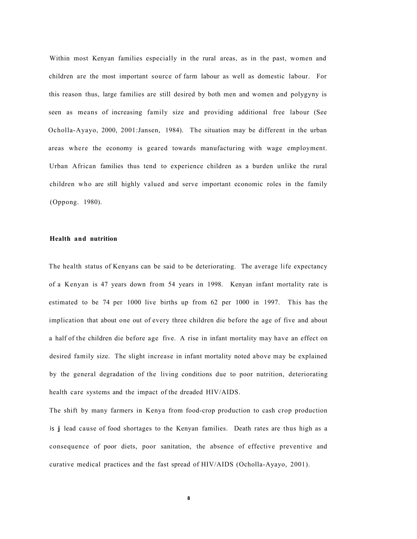Within most Kenyan families especially in the rural areas, as in the past, women and children are the most important source of farm labour as well as domestic labour. For this reason thus, large families are still desired by both men and women and polygyny is seen as means of increasing family size and providing additional free labour (See Ocholla-Ayayo, 2000, 2001:Jansen, 1984). The situation may be different in the urban areas where the economy is geared towards manufacturing with wage employment. Urban African families thus tend to experience children as a burden unlike the rural children who are still highly valued and serve important economic roles in the family (Oppong. 1980).

#### **Health and nutrition**

The health status of Kenyans can be said to be deteriorating. The average life expectancy of a Kenyan is 47 years down from 54 years in 1998. Kenyan infant mortality rate is estimated to be 74 per 1000 live births up from 62 per 1000 in 1997. This has the implication that about one out of every three children die before the age of five and about a half of the children die before age five. A rise in infant mortality may have an effect on desired family size. The slight increase in infant mortality noted above may be explained by the general degradation of the living conditions due to poor nutrition, deteriorating health care systems and the impact of the dreaded HIV/AIDS.

The shift by many farmers in Kenya from food-crop production to cash crop production is **j** lead cause of food shortages to the Kenyan families. Death rates are thus high as a consequence of poor diets, poor sanitation, the absence of effective preventive and curative medical practices and the fast spread of HIV/AIDS (Ocholla-Ayayo, 2001).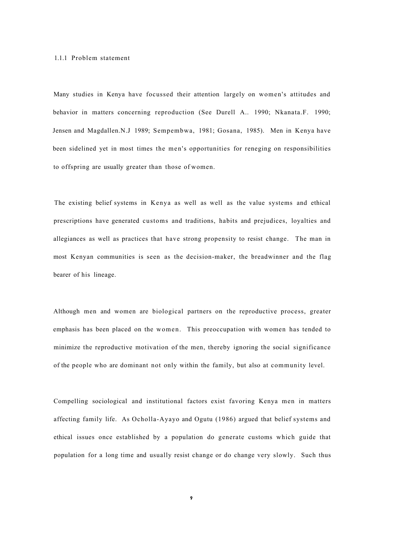#### 1.1.1 Problem statement

Many studies in Kenya have focussed their attention largely on women's attitudes and behavior in matters concerning reproduction (See Durell A.. 1990; Nkanata.F. 1990; Jensen and Magdallen.N.J 1989; Sempembwa, 1981; Gosana, 1985). Men in Kenya have been sidelined yet in most times the men's opportunities for reneging on responsibilities to offspring are usually greater than those of women.

The existing belief systems in Kenya as well as well as the value systems and ethical prescriptions have generated customs and traditions, habits and prejudices, loyalties and allegiances as well as practices that have strong propensity to resist change. The man in most Kenyan communities is seen as the decision-maker, the breadwinner and the flag bearer of his lineage.

Although men and women are biological partners on the reproductive process, greater emphasis has been placed on the women. This preoccupation with women has tended to minimize the reproductive motivation of the men, thereby ignoring the social significance of the people who are dominant not only within the family, but also at community level.

Compelling sociological and institutional factors exist favoring Kenya men in matters affecting family life. As Ocholla-Ayayo and Ogutu (1986) argued that belief systems and ethical issues once established by a population do generate customs which guide that population for a long time and usually resist change or do change very slowly. Such thus

**9**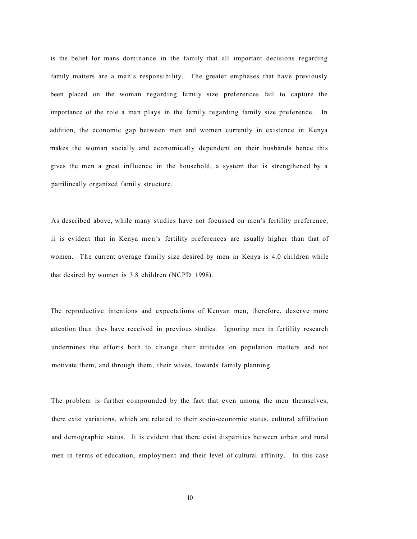is the belief for mans dominance in the family that all important decisions regarding family matters are a man's responsibility. The greater emphases that have previously been placed on the woman regarding family size preferences fail to capture the importance of the role a man plays in the family regarding family size preference. In addition, the economic gap between men and women currently in existence in Kenya makes the woman socially and economically dependent on their husbands hence this gives the men a great influence in the household, a system that is strengthened by a patrilineally organized family structure.

As described above, while many studies have not focussed on men's fertility preference, ii is evident that in Kenya men's fertility preferences are usually higher than that of women. The current average family size desired by men in Kenya is 4.0 children while that desired by women is 3.8 children (NCPD 1998).

The reproductive intentions and expectations of Kenyan men, therefore, deserve more attention than they have received in previous studies. Ignoring men in fertility research undermines the efforts both to change their attitudes on population matters and not motivate them, and through them, their wives, towards family planning.

The problem is further compounded by the fact that even among the men themselves, there exist variations, which are related to their socio-economic status, cultural affiliation and demographic status. It is evident that there exist disparities between urban and rural men in terms of education, employment and their level of cultural affinity. In this case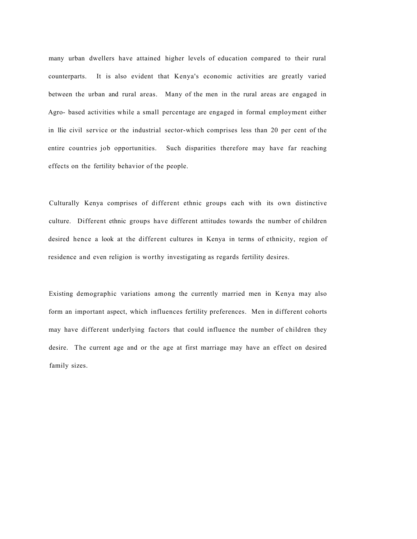many urban dwellers have attained higher levels of education compared to their rural counterparts. It is also evident that Kenya's economic activities are greatly varied between the urban and rural areas. Many of the men in the rural areas are engaged in Agro- based activities while a small percentage are engaged in formal employment either in llie civil service or the industrial sector-which comprises less than 20 per cent of the entire countries job opportunities. Such disparities therefore may have far reaching effects on the fertility behavior of the people.

Culturally Kenya comprises of different ethnic groups each with its own distinctive culture. Different ethnic groups have different attitudes towards the number of children desired hence a look at the different cultures in Kenya in terms of ethnicity, region of residence and even religion is worthy investigating as regards fertility desires.

Existing demographic variations among the currently married men in Kenya may also form an important aspect, which influences fertility preferences. Men in different cohorts may have different underlying factors that could influence the number of children they desire. The current age and or the age at first marriage may have an effect on desired family sizes.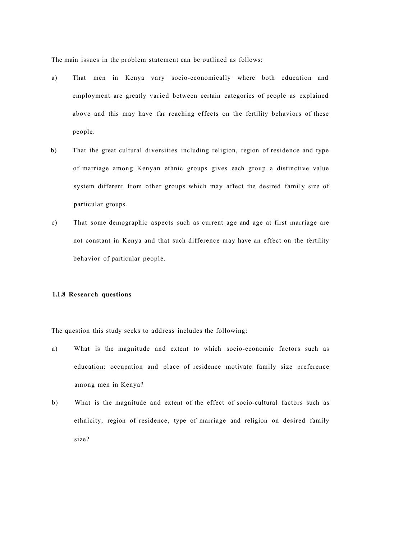The main issues in the problem statement can be outlined as follows:

- a) That men in Kenya vary socio-economically where both education and employment are greatly varied between certain categories of people as explained above and this may have far reaching effects on the fertility behaviors of these people.
- b) That the great cultural diversities including religion, region of residence and type of marriage among Kenyan ethnic groups gives each group a distinctive value system different from other groups which may affect the desired family size of particular groups.
- c) That some demographic aspects such as current age and age at first marriage are not constant in Kenya and that such difference may have an effect on the fertility behavior of particular people.

#### **1.1.8 Research questions**

The question this study seeks to address includes the following:

- a) What is the magnitude and extent to which socio-economic factors such as education: occupation and place of residence motivate family size preference among men in Kenya?
- b) What is the magnitude and extent of the effect of socio-cultural factors such as ethnicity, region of residence, type of marriage and religion on desired family size?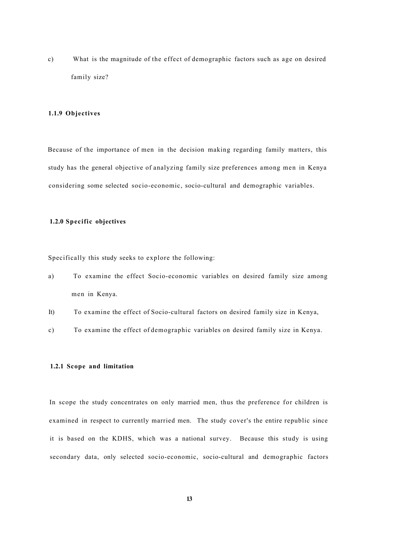c) What is the magnitude of the effect of demographic factors such as age on desired family size?

#### <span id="page-23-0"></span>**1.1.9 Objectives**

Because of the importance of men in the decision making regarding family matters, this study has the general objective of analyzing family size preferences among men in Kenya considering some selected socio-economic, socio-cultural and demographic variables.

#### <span id="page-23-1"></span>**1.2.0 Specific objectives**

Specifically this study seeks to explore the following:

- a) To examine the effect Socio-economic variables on desired family size among men in Kenya.
- It) To examine the effect of Socio-cultural factors on desired family size in Kenya,
- c) To examine the effect of demographic variables on desired family size in Kenya.

#### <span id="page-23-2"></span>**1.2.1 Scope and limitation**

In scope the study concentrates on only married men, thus the preference for children is examined in respect to currently married men. The study cover's the entire republic since it is based on the KDHS, which was a national survey. Because this study is using secondary data, only selected socio-economic, socio-cultural and demographic factors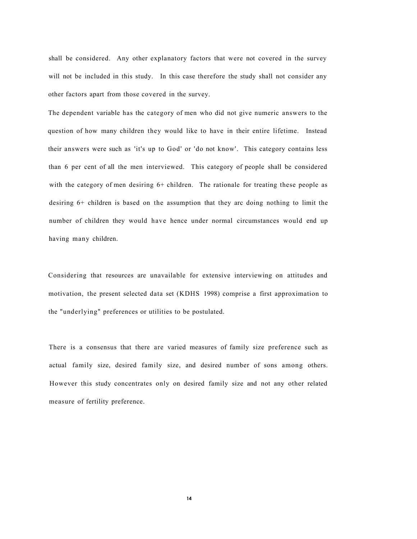shall be considered. Any other explanatory factors that were not covered in the survey will not be included in this study. In this case therefore the study shall not consider any other factors apart from those covered in the survey.

The dependent variable has the category of men who did not give numeric answers to the question of how many children they would like to have in their entire lifetime. Instead their answers were such as 'it's up to God' or 'do not know'. This category contains less than 6 per cent of all the men interviewed. This category of people shall be considered with the category of men desiring  $6+$  children. The rationale for treating these people as desiring 6+ children is based on the assumption that they arc doing nothing to limit the number of children they would have hence under normal circumstances would end up having many children.

Considering that resources are unavailable for extensive interviewing on attitudes and motivation, the present selected data set (KDHS 1998) comprise a first approximation to the "underlying" preferences or utilities to be postulated.

There is a consensus that there are varied measures of family size preference such as actual family size, desired family size, and desired number of sons among others. However this study concentrates only on desired family size and not any other related measure of fertility preference.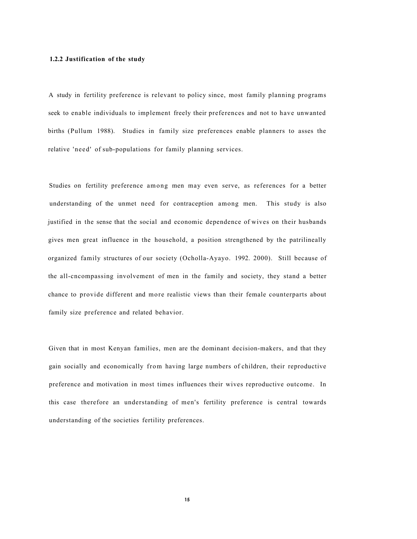#### **1.2.2 Justification of the study**

A study in fertility preference is relevant to policy since, most family planning programs seek to enable individuals to implement freely their preferences and not to have unwanted births (Pullum 1988). Studies in family size preferences enable planners to asses the relative 'need' of sub-populations for family planning services.

Studies on fertility preference among men may even serve, as references for a better understanding of the unmet need for contraception among men. This study is also justified in the sense that the social and economic dependence of wives on their husbands gives men great influence in the household, a position strengthened by the patrilineally organized family structures of our society (Ocholla-Ayayo. 1992. 2000). Still because of the all-cncompassing involvement of men in the family and society, they stand a better chance to provide different and more realistic views than their female counterparts about family size preference and related behavior.

Given that in most Kenyan families, men are the dominant decision-makers, and that they gain socially and economically from having large numbers of children, their reproductive preference and motivation in most times influences their wives reproductive outcome. In this case therefore an understanding of men's fertility preference is central towards understanding of the societies fertility preferences.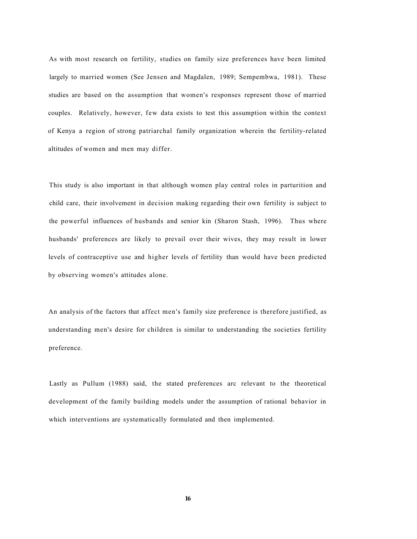As with most research on fertility, studies on family size preferences have been limited largely to married women (See Jensen and Magdalen, 1989; Sempembwa, 1981). These studies are based on the assumption that women's responses represent those of married couples. Relatively, however, few data exists to test this assumption within the context of Kenya a region of strong patriarchal family organization wherein the fertility-related altitudes of women and men may differ.

This study is also important in that although women play central roles in parturition and child care, their involvement in decision making regarding their own fertility is subject to the powerful influences of husbands and senior kin (Sharon Stash, 1996). Thus where husbands' preferences are likely to prevail over their wives, they may result in lower levels of contraceptive use and higher levels of fertility than would have been predicted by observing women's attitudes alone.

An analysis of the factors that affect men's family size preference is therefore justified, as understanding men's desire for children is similar to understanding the societies fertility preference.

Lastly as Pullum (1988) said, the stated preferences arc relevant to the theoretical development of the family building models under the assumption of rational behavior in which interventions are systematically formulated and then implemented.

**16**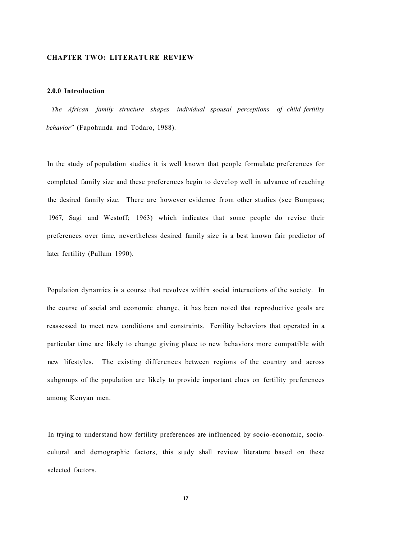#### **CHAPTER TWO: LITERATURE REVIEW**

#### <span id="page-27-0"></span>**2.0.0 Introduction**

*The African family structure shapes individual spousal perceptions of child fertility behavior"* (Fapohunda and Todaro, 1988).

In the study of population studies it is well known that people formulate preferences for completed family size and these preferences begin to develop well in advance of reaching the desired family size. There are however evidence from other studies (see Bumpass; 1967, Sagi and Westoff; 1963) which indicates that some people do revise their preferences over time, nevertheless desired family size is a best known fair predictor of later fertility (Pullum 1990).

Population dynamics is a course that revolves within social interactions of the society. In the course of social and economic change, it has been noted that reproductive goals are reassessed to meet new conditions and constraints. Fertility behaviors that operated in a particular time are likely to change giving place to new behaviors more compatible with new lifestyles. The existing differences between regions of the country and across subgroups of the population are likely to provide important clues on fertility preferences among Kenyan men.

In trying to understand how fertility preferences are influenced by socio-economic, sociocultural and demographic factors, this study shall review literature based on these selected factors.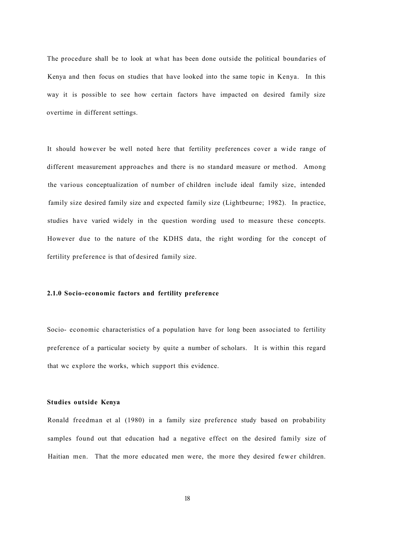The procedure shall be to look at what has been done outside the political boundaries of Kenya and then focus on studies that have looked into the same topic in Kenya. In this way it is possible to see how certain factors have impacted on desired family size overtime in different settings.

It should however be well noted here that fertility preferences cover a wide range of different measurement approaches and there is no standard measure or method. Among the various conceptualization of number of children include ideal family size, intended family size desired family size and expected family size (Lightbeurne; 1982). In practice, studies have varied widely in the question wording used to measure these concepts. However due to the nature of the KDHS data, the right wording for the concept of fertility preference is that of desired family size.

#### **2.1.0 Socio-economic factors and fertility preference**

Socio- economic characteristics of a population have for long been associated to fertility preference of a particular society by quite a number of scholars. It is within this regard that wc explore the works, which support this evidence.

#### **Studies outside Kenya**

Ronald freedman et al (1980) in a family size preference study based on probability samples found out that education had a negative effect on the desired family size of Haitian men. That the more educated men were, the more they desired fewer children.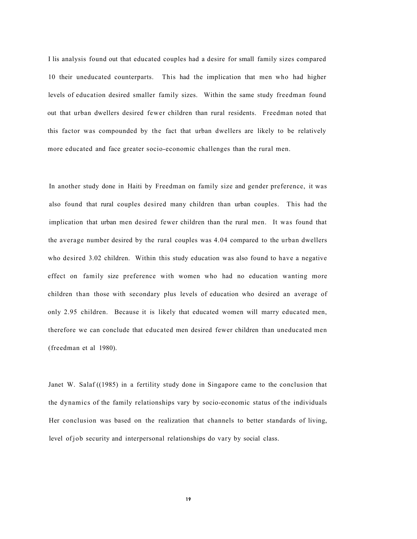I lis analysis found out that educated couples had a desire for small family sizes compared 10 their uneducated counterparts. This had the implication that men who had higher levels of education desired smaller family sizes. Within the same study freedman found out that urban dwellers desired fewer children than rural residents. Freedman noted that this factor was compounded by the fact that urban dwellers are likely to be relatively more educated and face greater socio-economic challenges than the rural men.

In another study done in Haiti by Freedman on family size and gender preference, it was also found that rural couples desired many children than urban couples. This had the implication that urban men desired fewer children than the rural men. It was found that the average number desired by the rural couples was 4.04 compared to the urban dwellers who desired 3.02 children. Within this study education was also found to have a negative effect on family size preference with women who had no education wanting more children than those with secondary plus levels of education who desired an average of only 2.95 children. Because it is likely that educated women will marry educated men, therefore we can conclude that educated men desired fewer children than uneducated men (freedman et al 1980).

Janet W. Salaf ((1985) in a fertility study done in Singapore came to the conclusion that the dynamics of the family relationships vary by socio-economic status of the individuals Her conclusion was based on the realization that channels to better standards of living, level of job security and interpersonal relationships do vary by social class.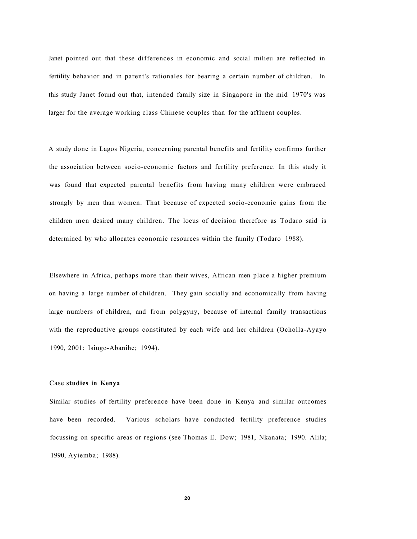Janet pointed out that these differences in economic and social milieu are reflected in fertility behavior and in parent's rationales for bearing a certain number of children. In this study Janet found out that, intended family size in Singapore in the mid 1970's was larger for the average working class Chinese couples than for the affluent couples.

A study done in Lagos Nigeria, concerning parental benefits and fertility confirms further the association between socio-economic factors and fertility preference. In this study it was found that expected parental benefits from having many children were embraced strongly by men than women. That because of expected socio-economic gains from the children men desired many children. The locus of decision therefore as Todaro said is determined by who allocates economic resources within the family (Todaro 1988).

Elsewhere in Africa, perhaps more than their wives, African men place a higher premium on having a large number of children. They gain socially and economically from having large numbers of children, and from polygyny, because of internal family transactions with the reproductive groups constituted by each wife and her children (Ocholla-Ayayo 1990, 2001: Isiugo-Abanihe; 1994).

#### Case **studies in Kenya**

Similar studies of fertility preference have been done in Kenya and similar outcomes have been recorded. Various scholars have conducted fertility preference studies focussing on specific areas or regions (see Thomas E. Dow; 1981, Nkanata; 1990. Alila; 1990, Ayiemba; 1988).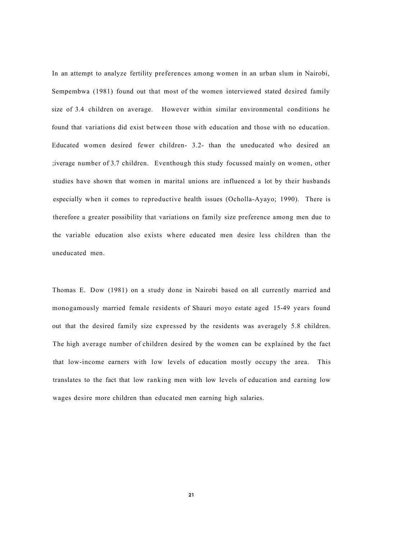In an attempt to analyze fertility preferences among women in an urban slum in Nairobi, Sempembwa (1981) found out that most of the women interviewed stated desired family size of 3.4 children on average. However within similar environmental conditions he found that variations did exist between those with education and those with no education. Educated women desired fewer children- 3.2- than the uneducated who desired an ;iverage number of 3.7 children. Eventhough this study focussed mainly on women, other studies have shown that women in marital unions are influenced a lot by their husbands especially when it comes to reproductive health issues (Ocholla-Ayayo; 1990). There is therefore a greater possibility that variations on family size preference among men due to the variable education also exists where educated men desire less children than the uneducated men.

Thomas E. Dow (1981) on a study done in Nairobi based on all currently married and monogamously married female residents of Shauri moyo estate aged 15-49 years found out that the desired family size expressed by the residents was averagely 5.8 children. The high average number of children desired by the women can be explained by the fact that low-income earners with low levels of education mostly occupy the area. This translates to the fact that low ranking men with low levels of education and earning low wages desire more children than educated men earning high salaries.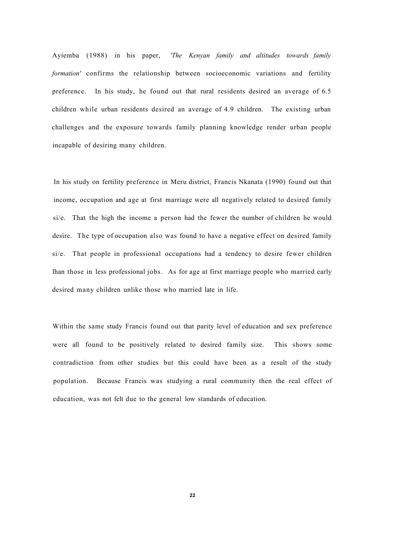Ayiemba (1988) in his paper, *'The Kenyan family and altitudes towards family formation'* confirms the relationship between socioeconomic variations and fertility preference. In his study, he found out that rural residents desired an average of 6.5 children while urban residents desired an average of 4.9 children. The existing urban challenges and the exposure towards family planning knowledge render urban people incapable of desiring many children.

In his study on fertility preference in Meru district, Francis Nkanata (1990) found out that income, occupation and age at first marriage were all negatively related to desired family si/e. That the high the income a person had the fewer the number of children he would desire. The type of occupation also was found to have a negative effect on desired family si/e. That people in professional occupations had a tendency to desire fewer children lhan those in less professional jobs. As for age at first marriage people who married early desired many children unlike those who married late in life.

Within the same study Francis found out that parity level of education and sex preference were all found to be positively related to desired family size. This shows some contradiction from other studies but this could have been as a result of the study population. Because Francis was studying a rural community then the real effect of education, was not felt due to the general low standards of education.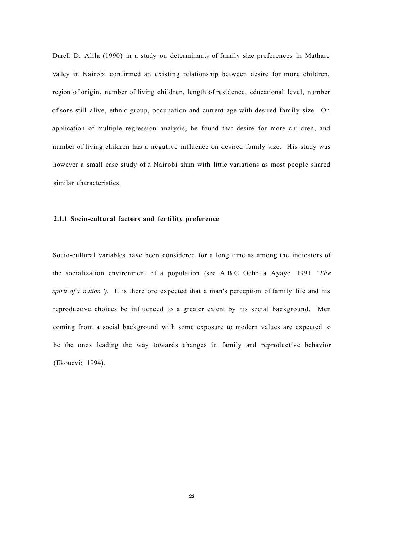Durcll D. Alila (1990) in a study on determinants of family size preferences in Mathare valley in Nairobi confirmed an existing relationship between desire for more children, region of origin, number of living children, length of residence, educational level, number of sons still alive, ethnic group, occupation and current age with desired family size. On application of multiple regression analysis, he found that desire for more children, and number of living children has a negative influence on desired family size. His study was however a small case study of a Nairobi slum with little variations as most people shared similar characteristics.

#### **2.1.1 Socio-cultural factors and fertility preference**

Socio-cultural variables have been considered for a long time as among the indicators of ihc socialization environment of a population (see A.B.C Ocholla Ayayo 1991. '*The spirit of a nation ').* It is therefore expected that a man's perception of family life and his reproductive choices be influenced to a greater extent by his social background. Men coming from a social background with some exposure to modern values are expected to be the ones leading the way towards changes in family and reproductive behavior (Ekouevi; 1994).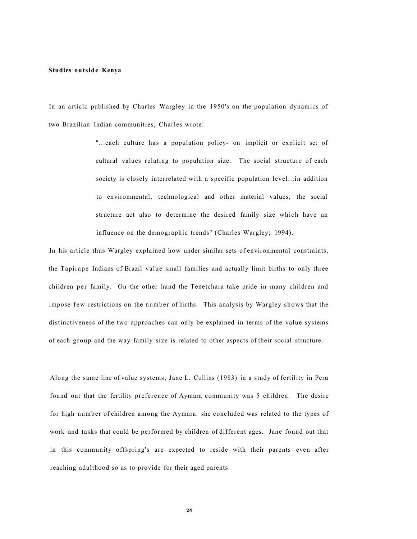#### **Studies outside Kenya**

In an articlc published by Charles Wargley in the 1950's on the population dynamics of two Brazilian Indian communities, Charles wrote:

> "...each culture has a population policy- on implicit or explicit set of cultural values relating to population size. The social structure of each society is closely interrelated with a specific population level...in addition to environmental, technological and other material values, the social structure act also to determine the desired family size which have an influence on the demographic trends" (Charles Wargley; 1994).

In his article thus Wargley explained how under similar sets of environmental constraints, the Tapirape Indians of Brazil value small families and actually limit births to only three children per family. On the other hand the Tenetchara take pride in many children and impose few restrictions on the number of births. This analysis by Wargley shows that the distinctiveness of the two approaches can only be explained in terms of the value systems of each group and the way family size is related to other aspects of their social structure.

Along the same line of value systems, Jane L. Collins (1983) in a study of fertility in Peru found out that the fertility preference of Aymara community was 5 children. The desire for high number of children among the Aymara. she concluded was related to the types of work and tasks that could be performed by children of different ages. Jane found out that in this community offspring's are expected to reside with their parents even after reaching adulthood so as to provide for their aged parents.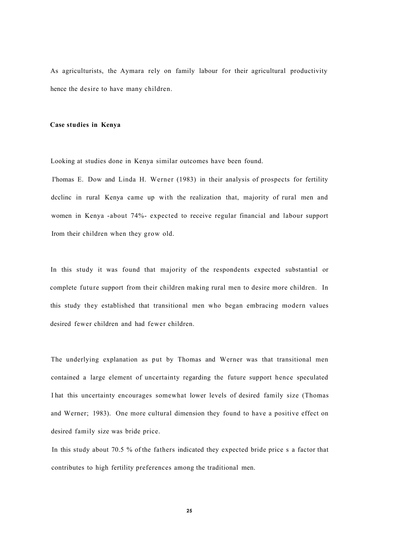As agriculturists, the Aymara rely on family labour for their agricultural productivity hence the desire to have many children.

#### **Case studies in Kenya**

Looking at studies done in Kenya similar outcomes have been found.

I'homas E. Dow and Linda H. Werner (1983) in their analysis of prospects for fertility dcclinc in rural Kenya came up with the realization that, majority of rural men and women in Kenya -about 74%- expected to receive regular financial and labour support Irom their children when they grow old.

In this study it was found that majority of the respondents expected substantial or complete future support from their children making rural men to desire more children. In this study they established that transitional men who began embracing modern values desired fewer children and had fewer children.

The underlying explanation as put by Thomas and Werner was that transitional men contained a large element of uncertainty regarding the future support hence speculated I hat this uncertainty encourages somewhat lower levels of desired family size (Thomas and Werner; 1983). One more cultural dimension they found to have a positive effect on desired family size was bride price.

In this study about 70.5 % of the fathers indicated they expected bride price s a factor that contributes to high fertility preferences among the traditional men.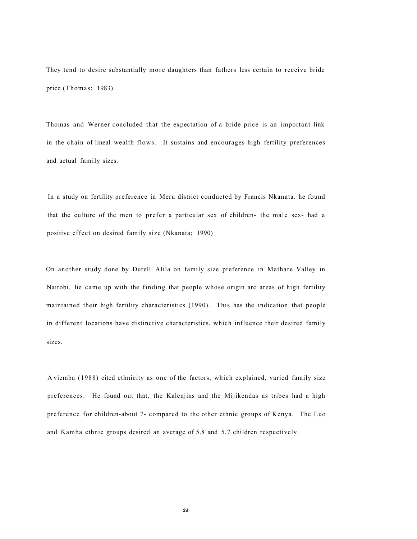They tend to desire substantially more daughters than fathers less certain to receive bride price (Thomas; 1983).

Thomas and Werner concluded that the expectation of a bride price is an important link in the chain of lineal wealth flows. It sustains and encourages high fertility preferences and actual family sizes.

In a study on fertility preference in Meru district conducted by Francis Nkanata. he found that the culture of the men to prefer a particular sex of children- the male sex- had a positive effect on desired family size (Nkanata; 1990)

On another study done by Durell Alila on family size preference in Mathare Valley in Nairobi, lie came up with the finding that people whose origin arc areas of high fertility maintained their high fertility characteristics (1990). This has the indication that people in different locations have distinctive characteristics, which influence their desired family sizes.

A viemba (1988) cited ethnicity as one of the factors, which explained, varied family size preferences. He found out that, the Kalenjins and the Mijikendas as tribes had a high preference for children-about 7- compared to the other ethnic groups of Kenya. The Luo and Kamba ethnic groups desired an average of 5.8 and 5.7 children respectively.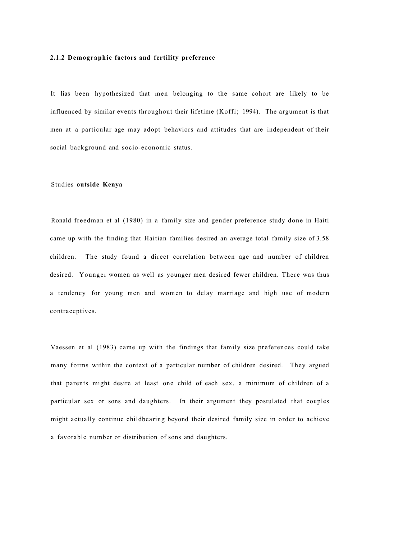#### **2.1.2 Demographic factors and fertility preference**

It lias been hypothesized that men belonging to the same cohort are likely to be influenced by similar events throughout their lifetime (Koffi; 1994). The argument is that men at a particular age may adopt behaviors and attitudes that are independent of their social background and socio-economic status.

#### Studies **outside Kenya**

Ronald freedman et al (1980) in a family size and gender preference study done in Haiti came up with the finding that Haitian families desired an average total family size of 3.58 children. The study found a direct correlation between age and number of children desired. Younger women as well as younger men desired fewer children. There was thus a tendency for young men and women to delay marriage and high use of modern contraceptives.

Vaessen et al (1983) came up with the findings that family size preferences could take many forms within the context of a particular number of children desired. They argued that parents might desire at least one child of each sex. a minimum of children of a particular sex or sons and daughters. In their argument they postulated that couples might actually continue childbearing beyond their desired family size in order to achieve a favorable number or distribution of sons and daughters.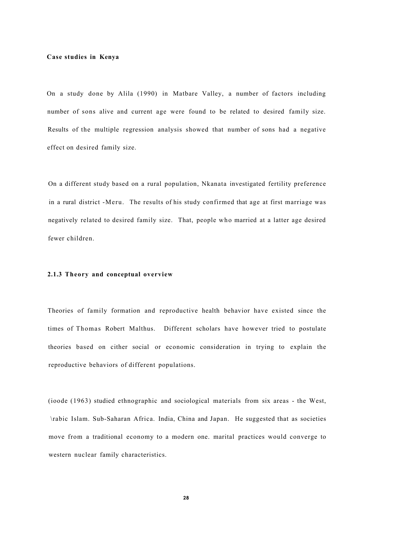#### **Case studies in Kenya**

On a study done by Alila (1990) in Matbare Valley, a number of factors including number of sons alive and current age were found to be related to desired family size. Results of the multiple regression analysis showed that number of sons had a negative effect on desired family size.

On a different study based on a rural population, Nkanata investigated fertility preference in a rural district -Meru. The results of his study confirmed that age at first marriage was negatively related to desired family size. That, people who married at a latter age desired fewer children.

#### **2.1.3 Theory and conceptual overview**

Theories of family formation and reproductive health behavior have existed since the times of Thomas Robert Malthus. Different scholars have however tried to postulate theories based on cither social or economic consideration in trying to explain the reproductive behaviors of different populations.

(ioode (1963) studied ethnographic and sociological materials from six areas - the West, \rabic Islam. Sub-Saharan Africa. India, China and Japan. He suggested that as societies move from a traditional economy to a modern one. marital practices would converge to western nuclear family characteristics.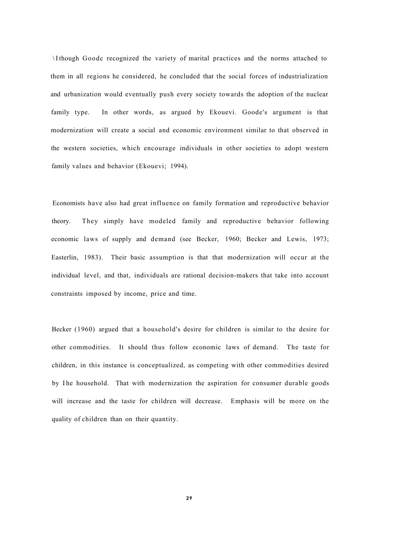\ I though Goodc recognized the variety of marital practices and the norms attached to them in all regions he considered, he concluded that the social forces of industrialization and urbanization would eventually push every society towards the adoption of the nuclear family type. In other words, as argued by Ekouevi. Goode's argument is that modernization will create a social and economic environment similar to that observed in the western societies, which encourage individuals in other societies to adopt western family values and behavior (Ekouevi; 1994).

Economists have also had great influence on family formation and reproductive behavior theory. They simply have modeled family and reproductive behavior following economic laws of supply and demand (see Becker, 1960; Becker and Lewis, 1973; Easterlin, 1983). Their basic assumption is that that modernization will occur at the individual level, and that, individuals are rational decision-makers that take into account constraints imposed by income, price and time.

Becker (1960) argued that a household's desire for children is similar to the desire for other commodities. It should thus follow economic laws of demand. The taste for children, in this instance is conceptualized, as competing with other commodities desired by I he household. That with modernization the aspiration for consumer durable goods will increase and the taste for children will decrease. Emphasis will be more on the quality of children than on their quantity.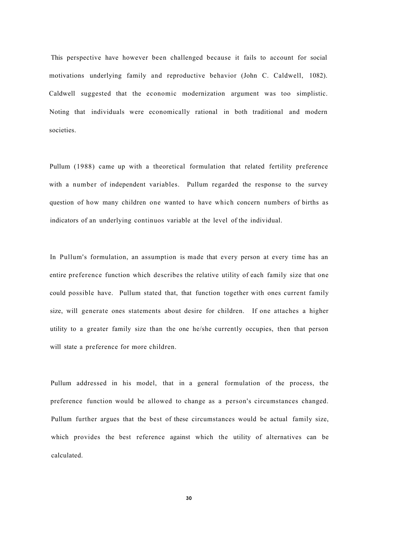This perspective have however been challenged because it fails to account for social motivations underlying family and reproductive behavior (John C. Caldwell, 1082). Caldwell suggested that the economic modernization argument was too simplistic. Noting that individuals were economically rational in both traditional and modern societies.

Pullum (1988) came up with a theoretical formulation that related fertility preference with a number of independent variables. Pullum regarded the response to the survey question of how many children one wanted to have which concern numbers of births as indicators of an underlying continuos variable at the level of the individual.

In Pullum's formulation, an assumption is made that every person at every time has an entire preference function which describes the relative utility of each family size that one could possible have. Pullum stated that, that function together with ones current family size, will generate ones statements about desire for children. If one attaches a higher utility to a greater family size than the one he/she currently occupies, then that person will state a preference for more children.

Pullum addressed in his model, that in a general formulation of the process, the preference function would be allowed to change as a person's circumstances changed. Pullum further argues that the best of these circumstances would be actual family size, which provides the best reference against which the utility of alternatives can be calculated.

**30**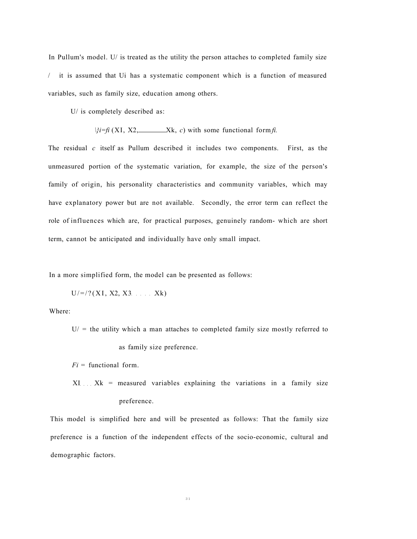In Pullum's model. U/ is treated as the utility the person attaches to completed family size / it is assumed that Ui has a systematic component which is a function of measured variables, such as family size, education among others.

U/ is completely described as:

 $\frac{1}{i}i = \frac{f_i}{X_1, X_2, \ldots}$  Xk, *c*) with some functional form *fi*.

The residual *c* itself as Pullum described it includes two components. First, as the unmeasured portion of the systematic variation, for example, the size of the person's family of origin, his personality characteristics and community variables, which may have explanatory power but are not available. Secondly, the error term can reflect the role of influences which are, for practical purposes, genuinely random- which are short term, cannot be anticipated and individually have only small impact.

In a more simplified form, the model can be presented as follows:

$$
U/=\frac{7}{(XI, X2, X3)}
$$
 Xk)

Where:

 $U/$  = the utility which a man attaches to completed family size mostly referred to as family size preference.

*Fi* = functional form.

 $XI$ ...  $Xk$  = measured variables explaining the variations in a family size preference.

This model is simplified here and will be presented as follows: That the family size preference is a function of the independent effects of the socio-economic, cultural and demographic factors.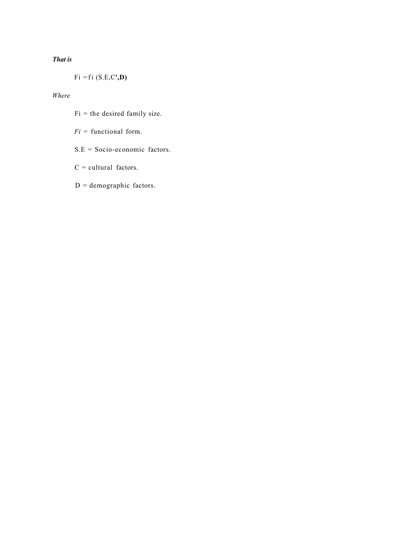## *That is*

Fi =fi (S.E,C**',D)** 

## *Where*

- $Fi = the desired family size.$
- *Fi* = functional form.
- S.E = Socio-economic factors.
- $C = \text{cultural factors}.$
- $D =$  demographic factors.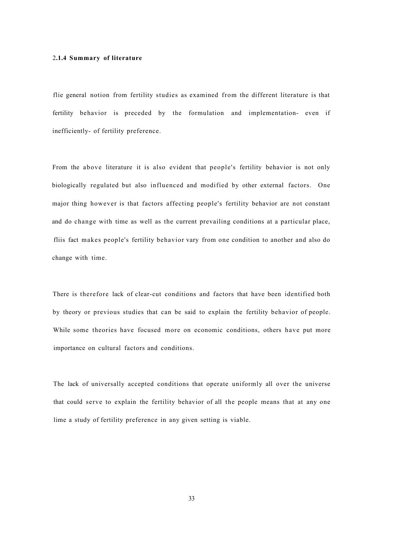## 2**.1.4 Summary of literature**

flie general notion from fertility studies as examined from the different literature is that fertility behavior is preceded by the formulation and implementation- even if inefficiently- of fertility preference.

From the above literature it is also evident that people's fertility behavior is not only biologically regulated but also influenced and modified by other external factors. One major thing however is that factors affecting people's fertility behavior are not constant and do change with time as well as the current prevailing conditions at a particular place, fliis fact makes people's fertility behavior vary from one condition to another and also do change with time.

There is therefore lack of clear-cut conditions and factors that have been identified both by theory or previous studies that can be said to explain the fertility behavior of people. While some theories have focused more on economic conditions, others have put more importance on cultural factors and conditions.

The lack of universally accepted conditions that operate uniformly all over the universe that could serve to explain the fertility behavior of all the people means that at any one lime a study of fertility preference in any given setting is viable.

33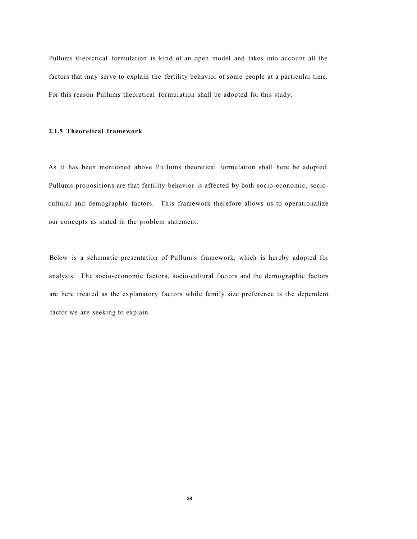Pullums tlieorctical formulation is kind of an open model and takes into account all the factors that may serve to explain the fertility behavior of some people at a particular time. For this reason Pullums theoretical formulation shall be adopted for this study.

#### **2.1.5 Theoretical framework**

As it has been mentioned above Pullums theoretical formulation shall here be adopted. Pullums propositions are that fertility behavior is affected by both socio-economic, sociocultural and demographic factors. This framework therefore allows us to operationalize our concepts as stated in the problem statement.

Below is a schematic presentation of Pullum's framework, which is hereby adopted for analysis. The socio-economic factors, socio-cultural factors and the demographic factors arc here treated as the explanatory factors while family size preference is the dependent factor we are seeking to explain.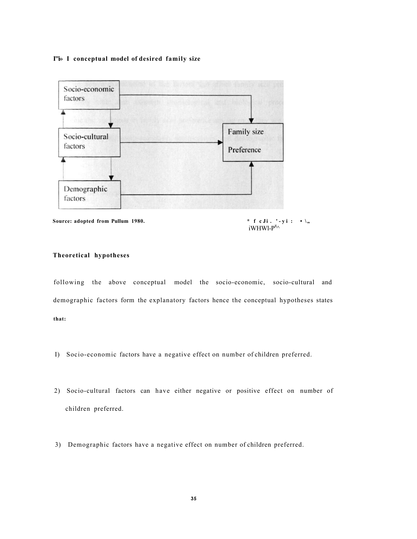### **I"i» I conceptual model of desired family size**



**Source: adopted from Pullum 1980.**  $\qquad \qquad$  **\* f c** Ji . '-yi : • \,,

iWHWl- $P^{8}$ 

## **Theoretical hypotheses**

following the above conceptual model the socio-economic, socio-cultural and demographic factors form the explanatory factors hence the conceptual hypotheses states **that:** 

- I) Socio-economic factors have a negative effect on number of children preferred.
- 2) Socio-cultural factors can have either negative or positive effect on number of children preferred.
- 3) Demographic factors have a negative effect on number of children preferred.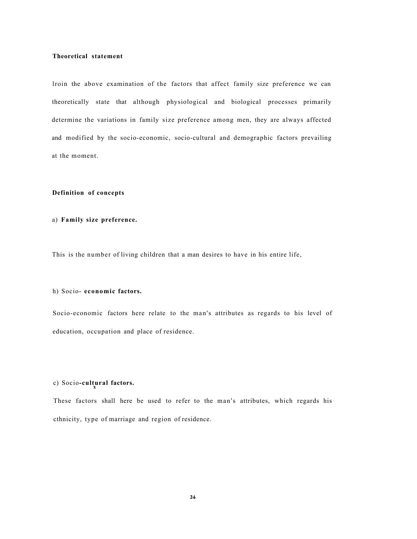## **Theoretical statement**

lroin the above examination of the factors that affect family size preference we can theoretically state that although physiological and biological processes primarily determine the variations in family size preference among men, they are always affected and modified by the socio-economic, socio-cultural and demographic factors prevailing at the moment.

## **Definition of concepts**

#### a) **Family size preference.**

This is the number of living children that a man desires to have in his entire life,

## h) Socio- **economic factors.**

Socio-economic factors here relate to the man's attributes as regards to his level of education, occupation and place of residence.

## c) Socio-cultural factors.

These factors shall here be used to refer to the man's attributes, which regards his cthnicity, type of marriage and region of residence.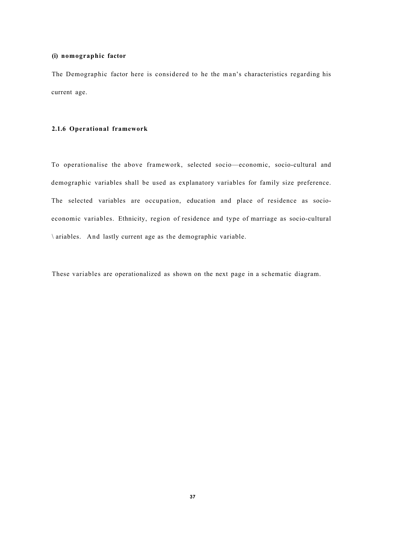## **(i) nomographic factor**

The Demographic factor here is considered to he the man's characteristics regarding his current age.

#### **2.1.6 Operational framework**

To operationalise the above framework, selected socio—economic, socio-cultural and demographic variables shall be used as explanatory variables for family size preference. The selected variables are occupation, education and place of residence as socioeconomic variables. Ethnicity, region of residence and type of marriage as socio-cultural \ ariables. And lastly current age as the demographic variable.

These variables are operationalized as shown on the next page in a schematic diagram.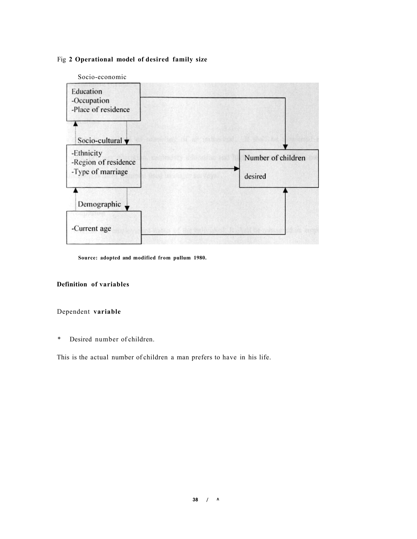## Fig **2 Operational model of desired family size**



**Source: adopted and modified from pullum 1980.** 

## **Definition of variables**

## Dependent **variable**

\* Desired number of children.

This is the actual number of children a man prefers to have in his life.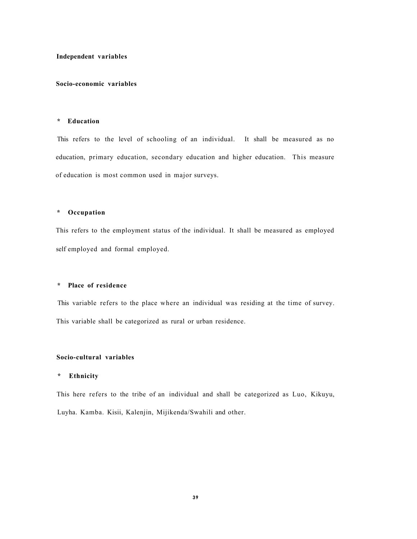## **Independent variables**

## **Socio-economic variables**

## **\* Education**

This refers to the level of schooling of an individual. It shall be measured as no education, primary education, secondary education and higher education. This measure of education is most common used in major surveys.

#### **\* Occupation**

This refers to the employment status of the individual. It shall be measured as employed self employed and formal employed.

## **\* Place of residence**

This variable refers to the place where an individual was residing at the time of survey. This variable shall be categorized as rural or urban residence.

## **Socio-cultural variables**

#### **\* Ethnicity**

This here refers to the tribe of an individual and shall be categorized as Luo, Kikuyu, Luyha. Kamba. Kisii, Kalenjin, Mijikenda/Swahili and other.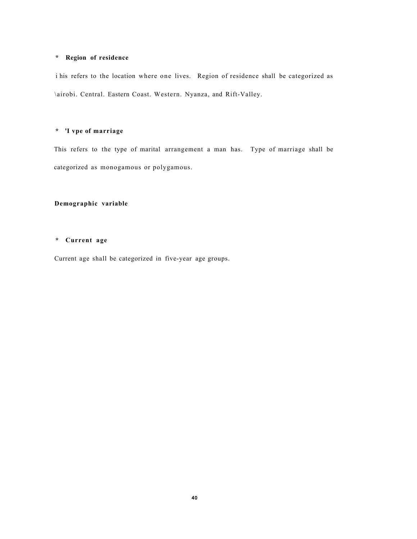## **\* Region of residence**

i his refers to the location where one lives. Region of residence shall be categorized as \airobi. Central. Eastern Coast. Western. Nyanza, and Rift-Valley.

## **\* 'I vpe of marriage**

This refers to the type of marital arrangement a man has. Type of marriage shall be categorized as monogamous or polygamous.

## **Demographic variable**

## **\* Current age**

Current age shall be categorized in five-year age groups.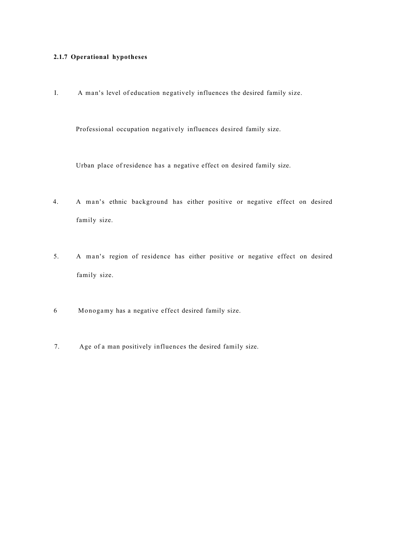## **2.1.7 Operational hypotheses**

I. A man's level of education negatively influences the desired family size.

Professional occupation negatively influences desired family size.

Urban place of residence has a negative effect on desired family size.

- 4. A man's ethnic background has either positive or negative effect on desired family size.
- 5. A man's region of residence has either positive or negative effect on desired family size.
- 6 Monogamy has a negative effect desired family size.
- 7. Age of a man positively influences the desired family size.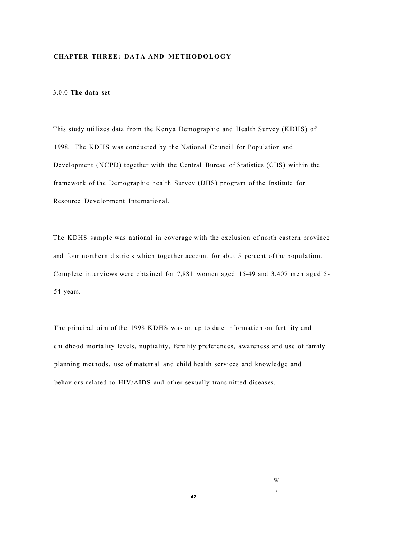## **CHAPTER THREE: DATA AND METHODOLOGY**

## 3.0.0 **The data set**

This study utilizes data from the Kenya Demographic and Health Survey (KDHS) of 1998. The KDHS was conducted by the National Council for Population and Development (NCPD) together with the Central Bureau of Statistics (CBS) within the framework of the Demographic health Survey (DHS) program of the Institute for Resource Development International.

The KDHS sample was national in coverage with the exclusion of north eastern province and four northern districts which together account for abut 5 percent of the population. Complete interviews were obtained for 7,881 women aged 15-49 and 3,407 men agedl5- 54 years.

The principal aim of the 1998 KDHS was an up to date information on fertility and childhood mortality levels, nuptiality, fertility preferences, awareness and use of family planning methods, use of maternal and child health services and knowledge and behaviors related to HIV/AIDS and other sexually transmitted diseases.

 $\mathbb{W}$ 

**\**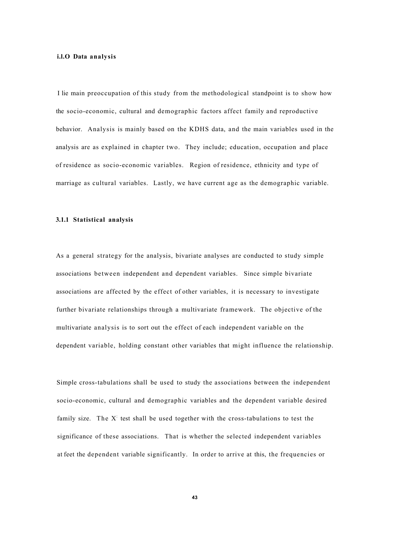#### **i.l.O Data analysis**

I lie main preoccupation of this study from the methodological standpoint is to show how the socio-economic, cultural and demographic factors affect family and reproductive behavior. Analysis is mainly based on the KDHS data, and the main variables used in the analysis are as explained in chapter two. They include; education, occupation and place of residence as socio-economic variables. Region of residence, ethnicity and type of marriage as cultural variables. Lastly, we have current age as the demographic variable.

#### **3.1.1 Statistical analysis**

As a general strategy for the analysis, bivariate analyses are conducted to study simple associations between independent and dependent variables. Since simple bivariate associations are affected by the effect of other variables, it is necessary to investigate further bivariate relationships through a multivariate framework. The objective of the multivariate analysis is to sort out the effect of each independent variable on the dependent variable, holding constant other variables that might influence the relationship.

Simple cross-tabulations shall be used to study the associations between the independent socio-economic, cultural and demographic variables and the dependent variable desired family size. The  $X<sup>T</sup>$  test shall be used together with the cross-tabulations to test the significance of these associations. That is whether the selected independent variables at feet the dependent variable significantly. In order to arrive at this, the frequencies or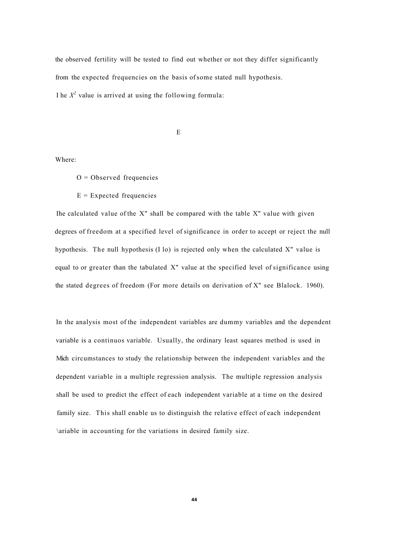the observed fertility will be tested to find out whether or not they differ significantly from the expected frequencies on the basis of some stated null hypothesis. I he  $X^2$  value is arrived at using the following formula:

E

Where:

 $O = Observed frequencies$ 

 $E =$  Expected frequencies

Ihe calculated value of the X" shall be compared with the table X" value with given degrees of freedom at a specified level of significance in order to accept or reject the null hypothesis. The null hypothesis (I lo) is rejected only when the calculated X" value is equal to or greater than the tabulated X" value at the specified level of significance using the stated degrees of freedom (For more details on derivation of X" see Blalock. 1960).

In the analysis most of the independent variables are dummy variables and the dependent variable is a continuos variable. Usually, the ordinary least squares method is used in Mich circumstances to study the relationship between the independent variables and the dependent variable in a multiple regression analysis. The multiple regression analysis shall be used to predict the effect of each independent variable at a time on the desired family size. This shall enable us to distinguish the relative effect of each independent \ariable in accounting for the variations in desired family size.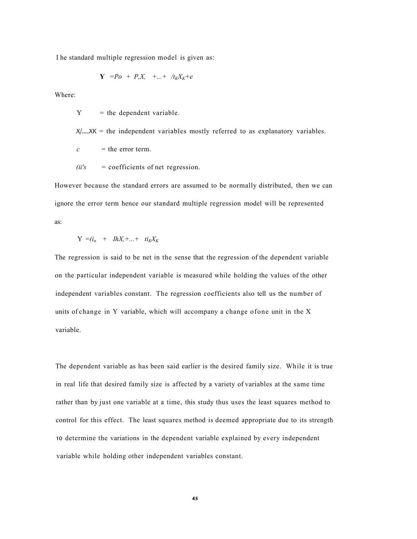I he standard multiple regression model is given as:

$$
\mathbf{Y} = P_o + P_x X, \quad +...+ \quad /t_K X_K + e
$$

Where:

 $Y =$  the dependent variable.

*X/....XK* = the independent variables mostly referred to as explanatory variables.

 $c =$  the error term.

$$
(ii's = coefficients of net regression).
$$

However because the standard errors are assumed to be normally distributed, then we can ignore the error term hence our standard multiple regression model will be represented as:

$$
Y = (i_n + lhX, +... + ti_K X_K)
$$

The regression is said to be net in the sense that the regression of the dependent variable on the particular independent variable is measured while holding the values of the other independent variables constant. The regression coefficients also tell us the number of units of change in Y variable, which will accompany a change ofone unit in the X variable.

The dependent variable as has been said earlier is the desired family size. While it is true in real life that desired family size is affected by a variety of variables at the same time rather than by just one variable at a time, this study thus uses the least squares method to control for this effect. The least squares method is deemed appropriate due to its strength 10 determine the variations in the dependent variable explained by every independent variable while holding other independent variables constant.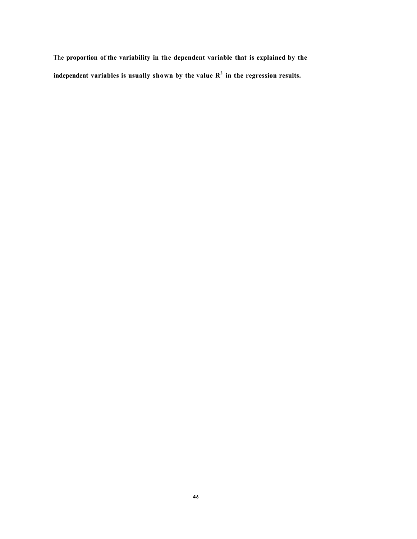The **proportion of the variability in the dependent variable that is explained by the independent variables is usually shown by the value R<sup>2</sup> in the regression results.**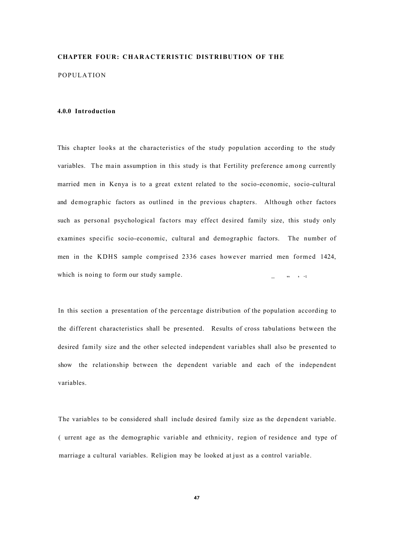## **CHAPTER FOUR: CHARACTERISTIC DISTRIBUTION OF THE**

POPULATION

#### **4.0.0 Introduction**

This chapter looks at the characteristics of the study population according to the study variables. The main assumption in this study is that Fertility preference among currently married men in Kenya is to a great extent related to the socio-economic, socio-cultural and demographic factors as outlined in the previous chapters. Although other factors such as personal psychological factors may effect desired family size, this study only examines specific socio-economic, cultural and demographic factors. The number of men in the KDHS sample comprised 2336 cases however married men formed 1424, which is noing to form our study sample.  $\Box$  , , .t

In this section a presentation of the percentage distribution of the population according to the different characteristics shall be presented. Results of cross tabulations between the desired family size and the other selected independent variables shall also be presented to show the relationship between the dependent variable and each of the independent variables.

The variables to be considered shall include desired family size as the dependent variable. ( urrent age as the demographic variable and ethnicity, region of residence and type of marriage a cultural variables. Religion may be looked at just as a control variable.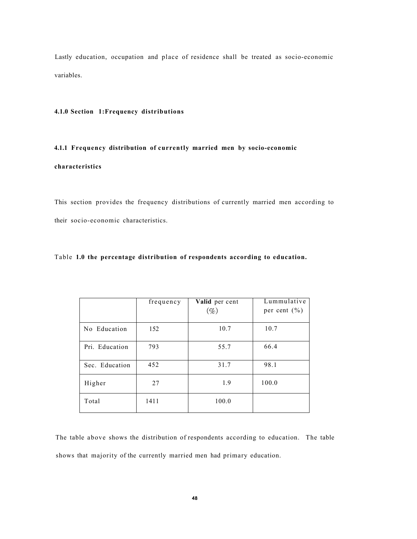Lastly education, occupation and place of residence shall be treated as socio-economic variables.

## **4.1.0 Section 1:Frequency distributions**

## **4.1.1 Frequency distribution of currently married men by socio-economic**

## **characteristics**

This section provides the frequency distributions of currently married men according to their socio-economic characteristics.

## Table **1.0 the percentage distribution of respondents according to education.**

|                | frequency | Valid per cent<br>$(\%)$ | Lummulative<br>per cent $(\% )$ |
|----------------|-----------|--------------------------|---------------------------------|
| No Education   | 152       | 10.7                     | 10.7                            |
| Pri. Education | 793       | 55.7                     | 66.4                            |
| Sec. Education | 452       | 31.7                     | 98.1                            |
| Higher         | 27        | 1.9                      | 100.0                           |
| Total          | 1411      | 100.0                    |                                 |

The table above shows the distribution of respondents according to education. The table shows that majority of the currently married men had primary education.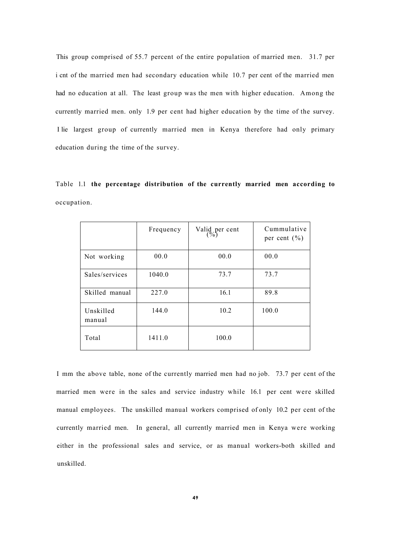This group comprised of 55.7 percent of the entire population of married men. 31.7 per i cnt of the married men had secondary education while 10.7 per cent of the married men had no education at all. The least group was the men with higher education. Among the currently married men. only 1.9 per cent had higher education by the time of the survey. I lie largest group of currently married men in Kenya therefore had only primary education during the time of the survey.

Table 1.1 **the percentage distribution of the currently married men according to**  occupation.

|                     | Frequency | Valid per cent<br>$(\%)$ | Cummulative<br>per cent $(\% )$ |
|---------------------|-----------|--------------------------|---------------------------------|
| Not working         | 00.0      | 00.0                     | 00.0                            |
| Sales/services      | 1040.0    | 73.7                     | 73.7                            |
| Skilled manual      | 227.0     | 16.1                     | 89.8                            |
| Unskilled<br>manual | 144.0     | 10.2                     | 100.0                           |
| Total               | 1411.0    | 100.0                    |                                 |

I mm the above table, none of the currently married men had no job. 73.7 per cent of the married men were in the sales and service industry while 16.1 per cent were skilled manual employees. The unskilled manual workers comprised of only 10.2 per cent of the currently married men. In general, all currently married men in Kenya were working either in the professional sales and service, or as manual workers-both skilled and unskilled.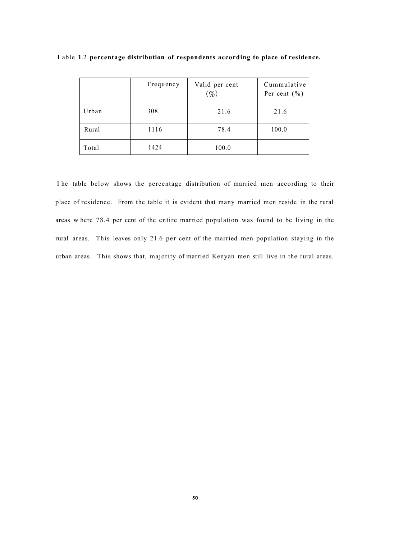|       | Frequency | Valid per cent<br>$(\%)$ | Cummulative<br>Per cent $(\% )$ |
|-------|-----------|--------------------------|---------------------------------|
| Urban | 308       | 21.6                     | 21.6                            |
| Rural | 1116      | 78.4                     | 100.0                           |
| Total | 1424      | 100.0                    |                                 |

**I** able **1**.2 **percentage distribution of respondents according to place of residence.** 

I he table below shows the percentage distribution of married men according to their placc of residence. From the table it is evident that many married men reside in the rural areas w here 78.4 per cent of the entire married population was found to be living in the rural areas. This leaves only 21.6 per cent of the married men population staying in the urban areas. This shows that, majority of married Kenyan men still live in the rural areas.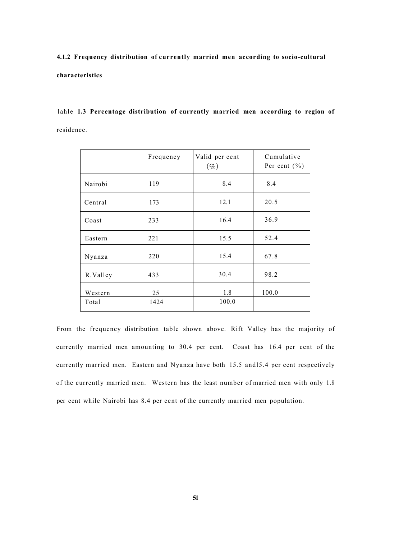**4.1.2 Frequency distribution of currently married men according to socio-cultural characteristics** 

lahle **1.3 Percentage distribution of currently married men according to region of**  residence.

|          | Frequency | Valid per cent<br>$(\%)$ | Cumulative<br>Per cent $(\% )$ |
|----------|-----------|--------------------------|--------------------------------|
| Nairobi  | 119       | 8.4                      | 8.4                            |
| Central  | 173       | 12.1                     | 20.5                           |
| Coast    | 233       | 16.4                     | 36.9                           |
| Eastern  | 221       | 15.5                     | 52.4                           |
| Nyanza   | 220       | 15.4                     | 67.8                           |
| R.Valley | 433       | 30.4                     | 98.2                           |
| Western  | 25        | 1.8                      | 100.0                          |
| Total    | 1424      | 100.0                    |                                |

From the frequency distribution table shown above. Rift Valley has the majority of currently married men amounting to 30.4 per cent. Coast has 16.4 per cent of the currently married men. Eastern and Nyanza have both 15.5 andl5.4 per cent respectively of the currently married men. Western has the least number of married men with only 1.8 per cent while Nairobi has 8.4 per cent of the currently married men population.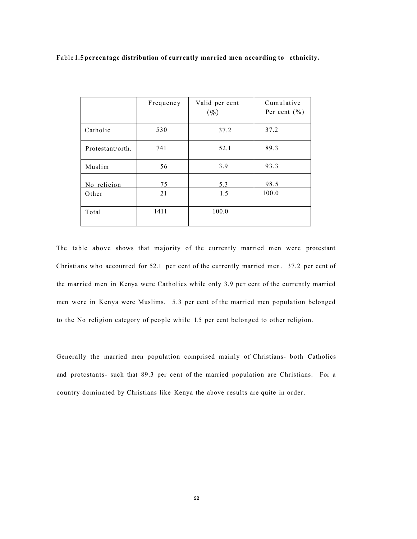|                      | Frequency | Valid per cent<br>$(\%)$ | Cumulative<br>Per cent $(\% )$ |
|----------------------|-----------|--------------------------|--------------------------------|
| Catholic             | 530       | 37.2                     | 37.2                           |
| Protestant/orth.     | 741       | 52.1                     | 89.3                           |
| Muslim               | 56        | 3.9                      | 93.3                           |
| No relieion<br>Other | 75<br>21  | 5.3<br>1.5               | 98.5<br>100.0                  |
| Total                | 1411      | 100.0                    |                                |

The table above shows that majority of the currently married men were protestant Christians who accounted for 52.1 per cent of the currently married men. 37.2 per cent of the married men in Kenya were Catholics while only 3.9 per cent of the currently married men were in Kenya were Muslims. 5.3 per cent of the married men population belonged to the No religion category of people while 1.5 per cent belonged to other religion.

Generally the married men population comprised mainly of Christians- both Catholics and protcstants- such that 89.3 per cent of the married population are Christians. For a country dominated by Christians like Kenya the above results are quite in order.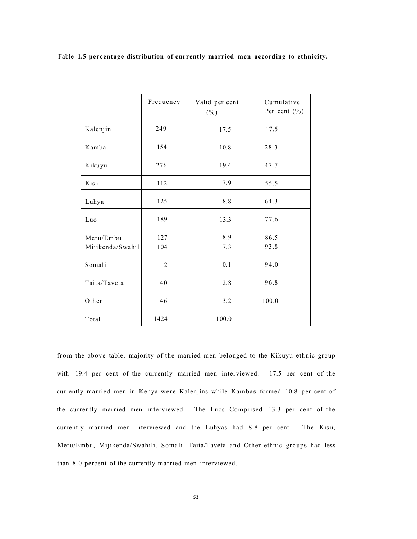|                  | Frequency      | Valid per cent<br>$(\% )$ | Cumulative<br>Per cent $(\% )$ |
|------------------|----------------|---------------------------|--------------------------------|
| Kalenjin         | 249            | 17.5                      | 17.5                           |
| Kamba            | 154            | 10.8                      | 28.3                           |
| Kikuyu           | 276            | 19.4                      | 47.7                           |
| Kisii            | 112            | 7.9                       | 55.5                           |
| Luhya            | 125            | 8.8                       | 64.3                           |
| Luo              | 189            | 13.3                      | 77.6                           |
| Meru/Embu        | 127            | 8.9                       | 86.5                           |
| Mijikenda/Swahil | 104            | 7.3                       | 93.8                           |
| Somali           | $\overline{2}$ | 0.1                       | 94.0                           |
| Taita/Taveta     | 40             | 2.8                       | 96.8                           |
| Other            | 46             | 3.2                       | 100.0                          |
| Total            | 1424           | 100.0                     |                                |

from the above table, majority of the married men belonged to the Kikuyu ethnic group with 19.4 per cent of the currently married men interviewed. 17.5 per cent of the currently married men in Kenya were Kalenjins while Kambas formed 10.8 per cent of the currently married men interviewed. The Luos Comprised 13.3 per cent of the currently married men interviewed and the Luhyas had 8.8 per cent. The Kisii, Meru/Embu, Mijikenda/Swahili. Somali. Taita/Taveta and Other ethnic groups had less than 8.0 percent of the currently married men interviewed.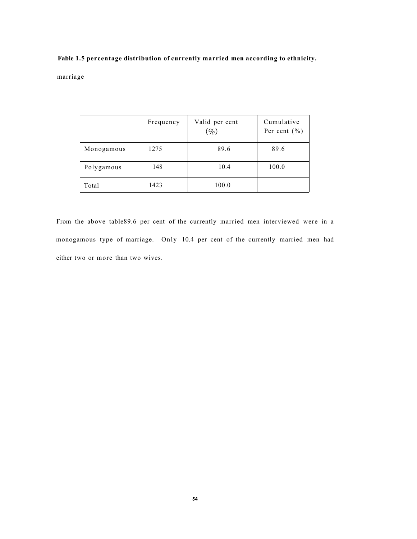marriage

|            | Frequency | Valid per cent<br>$(\%)$ | Cumulative<br>Per cent $(\% )$ |
|------------|-----------|--------------------------|--------------------------------|
| Monogamous | 1275      | 89.6                     | 89.6                           |
| Polygamous | 148       | 10.4                     | 100.0                          |
| Total      | 1423      | 100.0                    |                                |

From the above table89.6 per cent of the currently married men interviewed were in a monogamous type of marriage. Only 10.4 per cent of the currently married men had either two or more than two wives.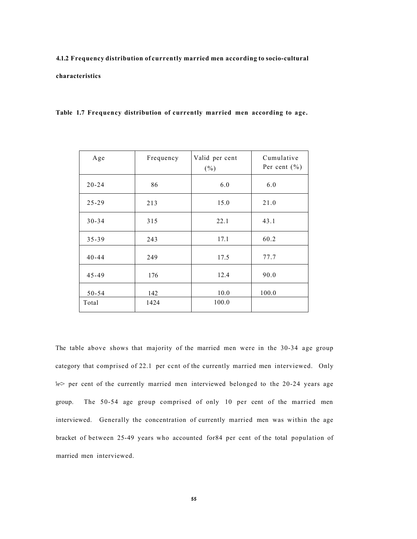# **4.1.2 Frequency distribution of currently married men according to socio-cultural characteristics**

| Table 1.7 Frequency distribution of currently married men according to age. |
|-----------------------------------------------------------------------------|
|-----------------------------------------------------------------------------|

| Age       | Frequency | Valid per cent<br>$(\% )$ | Cumulative<br>Per cent $(\% )$ |
|-----------|-----------|---------------------------|--------------------------------|
| $20 - 24$ | 86        | 6.0                       | 6.0                            |
| $25 - 29$ | 213       | 15.0                      | 21.0                           |
| $30 - 34$ | 315       | 22.1                      | 43.1                           |
| $35 - 39$ | 243       | 17.1                      | 60.2                           |
| $40 - 44$ | 249       | 17.5                      | 77.7                           |
| $45 - 49$ | 176       | 12.4                      | 90.0                           |
| $50 - 54$ | 142       | 10.0                      | 100.0                          |
| Total     | 1424      | 100.0                     |                                |

The table above shows that majority of the married men were in the 30-34 age group category that comprised of 22.1 per ccnt of the currently married men interviewed. Only  $\gg$  per cent of the currently married men interviewed belonged to the 20-24 years age group. The 50-54 age group comprised of only 10 per cent of the married men interviewed. Generally the concentration of currently married men was within the age bracket of between 25-49 years who accounted for84 per cent of the total population of married men interviewed.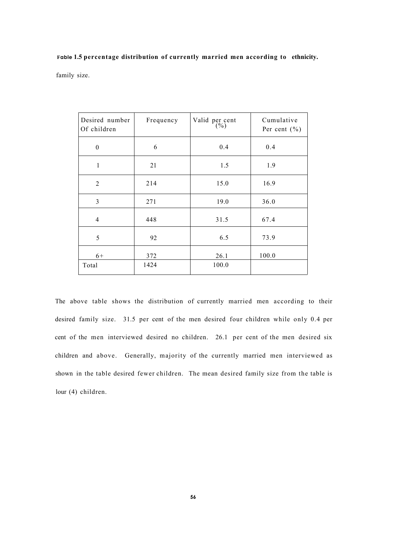family size.

| Desired number<br>Of children | Frequency | Valid per cent<br>$\binom{0}{0}$ | Cumulative<br>Per cent $(\% )$ |
|-------------------------------|-----------|----------------------------------|--------------------------------|
| $\boldsymbol{0}$              | 6         | 0.4                              | 0.4                            |
| $\mathbf{1}$                  | 21        | 1.5                              | 1.9                            |
| $\overline{2}$                | 214       | 15.0                             | 16.9                           |
| 3                             | 271       | 19.0                             | 36.0                           |
| $\overline{4}$                | 448       | 31.5                             | 67.4                           |
| 5                             | 92        | 6.5                              | 73.9                           |
| $6+$                          | 372       | 26.1                             | 100.0                          |
| Total                         | 1424      | 100.0                            |                                |

The above table shows the distribution of currently married men according to their desired family size. 31.5 per cent of the men desired four children while only 0.4 per cent of the men interviewed desired no children. 26.1 per cent of the men desired six children and above. Generally, majority of the currently married men interviewed as shown in the table desired fewer children. The mean desired family size from the table is lour (4) children.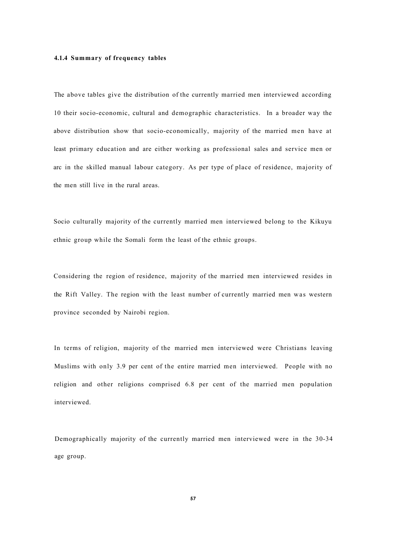### **4.1.4 Summary of frequency tables**

The above tables give the distribution of the currently married men interviewed according 10 their socio-economic, cultural and demographic characteristics. In a broader way the above distribution show that socio-economically, majority of the married men have at least primary education and are either working as professional sales and service men or arc in the skilled manual labour category. As per type of place of residence, majority of the men still live in the rural areas.

Socio culturally majority of the currently married men interviewed belong to the Kikuyu ethnic group while the Somali form the least of the ethnic groups.

Considering the region of residence, majority of the married men interviewed resides in the Rift Valley. The region with the least number of currently married men was western province seconded by Nairobi region.

In terms of religion, majority of the married men interviewed were Christians leaving Muslims with only 3.9 per cent of the entire married men interviewed. People with no religion and other religions comprised 6.8 per cent of the married men population interviewed.

Demographically majority of the currently married men interviewed were in the 30-34 age group.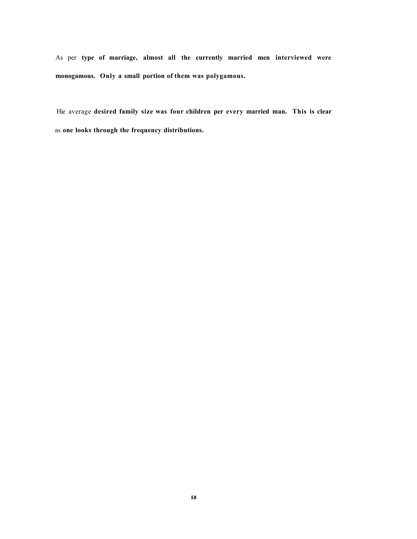As per **type of marriage, almost all the currently married men interviewed were monogamous. Only a small portion of them was polygamous.** 

Hie average **desired family size was four children per every married man. This is clear**  as **one looks through the frequency distributions.**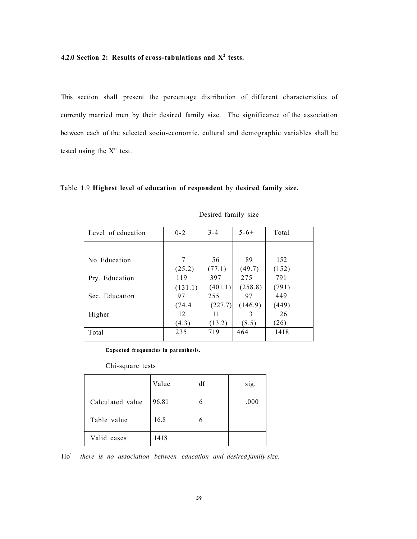## **4.2.0 Section 2: Results of cross-tabulations and X<sup>2</sup> tests.**

This section shall present the percentage distribution of different characteristics of currently married men by their desired family size. The significance of the association between each of the selected socio-economic, cultural and demographic variables shall be tested using the X" test.

## Table **1**.9 **Highest level of education of respondent** by **desired family size.**

| Level of education | $0 - 2$ | $3 - 4$ | $5 - 6 +$ | Total |
|--------------------|---------|---------|-----------|-------|
|                    |         |         |           |       |
| No Education       | 7       | 56      | 89        | 152   |
|                    | (25.2)  | (77.1)  | (49.7)    | (152) |
| Pry. Education     | 119     | 397     | 275       | 791   |
|                    | (131.1) | (401.1) | (258.8)   | (791) |
| Sec. Education     | 97      | 255     | 97        | 449   |
|                    | (74.4)  | (227.7) | (146.9)   | (449) |
| Higher             | 12      | 11      | 3         | 26    |
|                    | (4.3)   | (13.2)  | (8.5)     | (26)  |
| Total              | 235     | 719     | 464       | 1418  |

## Desired family size

**Expected frequencies in parenthesis.** 

Chi-square tests

|                  | Value | df | sig. |
|------------------|-------|----|------|
| Calculated value | 96.81 |    | .000 |
| Table value      | 16.8  | 6  |      |
| Valid cases      | 1418  |    |      |

 $Ho^{\mathbb{I}}$  *there is no association between education and desired family size.*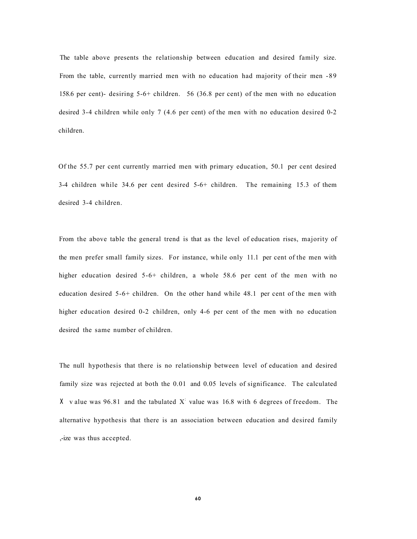The table above presents the relationship between education and desired family size. From the table, currently married men with no education had majority of their men -89 158.6 per cent)- desiring 5-6+ children. 56 (36.8 per cent) of the men with no education desired 3-4 children while only 7 (4.6 per cent) of the men with no education desired 0-2 children.

Of the 55.7 per cent currently married men with primary education, 50.1 per cent desired 3-4 children while 34.6 per cent desired 5-6+ children. The remaining 15.3 of them desired 3-4 children.

From the above table the general trend is that as the level of education rises, majority of the men prefer small family sizes. For instance, while only 11.1 per cent of the men with higher education desired 5-6+ children, a whole 58.6 per cent of the men with no education desired 5-6+ children. On the other hand while 48.1 per cent of the men with higher education desired 0-2 children, only 4-6 per cent of the men with no education desired the same number of children.

The null hypothesis that there is no relationship between level of education and desired family size was rejected at both the 0.01 and 0.05 levels of significance. The calculated X v alue was 96.81 and the tabulated  $X<sup>i</sup>$  value was 16.8 with 6 degrees of freedom. The alternative hypothesis that there is an association between education and desired family ,-ize was thus accepted.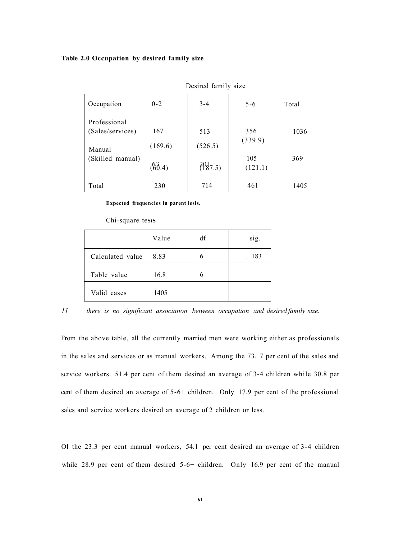### **Table 2.0 Occupation by desired family size**

| Occupation                       | $0 - 2$        | $3 - 4$        | $5 - 6 +$      | Total |
|----------------------------------|----------------|----------------|----------------|-------|
| Professional<br>(Sales/services) | 167<br>(169.6) | 513<br>(526.5) | 356<br>(339.9) | 1036  |
| Manual<br>(Skilled manual)       | 66.4)          | $^{20}_{15}$   | 105<br>(121.1) | 369   |
| Total                            | 230            | 714            | 461            | 1405  |

Desired family size

**Expected frequencies in parent iesis.** 

#### Chi-square tests

|                  | Value | df | sig. |
|------------------|-------|----|------|
| Calculated value | 8.83  | 6  | 183  |
| Table value      | 16.8  | 6  |      |
| Valid cases      | 1405  |    |      |

*11 there is no significant association between occupation and desired family size.* 

From the above table, all the currently married men were working either as professionals in the sales and services or as manual workers. Among the 73. 7 per cent of the sales and scrvice workers. 51.4 per cent of them desired an average of 3-4 children while 30.8 per cent of them desired an average of 5-6+ children. Only 17.9 per cent of the professional sales and scrvice workers desired an average of 2 children or less.

Ol the 23.3 per cent manual workers, 54.1 per cent desired an average of 3-4 children while 28.9 per cent of them desired 5-6+ children. Only 16.9 per cent of the manual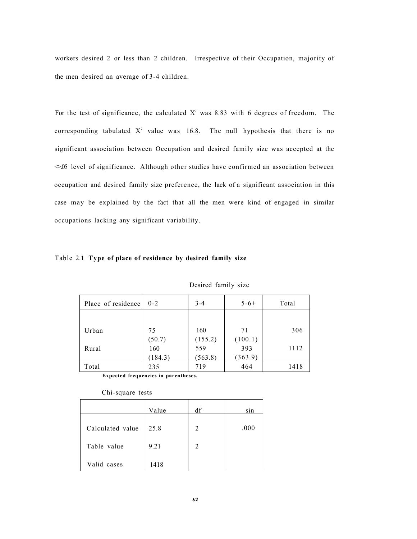workers desired 2 or less than 2 children. Irrespective of their Occupation, majority of the men desired an average of 3-4 children.

For the test of significance, the calculated  $X<sup>i</sup>$  was 8.83 with 6 degrees of freedom. The corresponding tabulated  $X'$  value was 16.8. The null hypothesis that there is no significant association between Occupation and desired family size was accepted at the  $\leq 05$  level of significance. Although other studies have confirmed an association between occupation and desired family size preference, the lack of a significant association in this case may be explained by the fact that all the men were kind of engaged in similar occupations lacking any significant variability.

|  |  |  | Table 2.1 Type of place of residence by desired family size |  |  |  |
|--|--|--|-------------------------------------------------------------|--|--|--|
|--|--|--|-------------------------------------------------------------|--|--|--|

| Place of residence | $0 - 2$ | $3 - 4$ | $5 - 6 +$ | Total |
|--------------------|---------|---------|-----------|-------|
|                    |         |         |           |       |
| Urban              | 75      | 160     | 71        | 306   |
|                    | (50.7)  | (155.2) | (100.1)   |       |
| Rural              | 160     | 559     | 393       | 1112  |
|                    | (184.3) | (563.8) | (363.9)   |       |
| Total              | 235     | 719     | 464       | 1418  |

Desired family size

**Expected frequencies in parentheses.** 

|                  | Value | df             | sin  |
|------------------|-------|----------------|------|
| Calculated value | 25.8  | 2              | .000 |
| Table value      | 9.21  | $\overline{2}$ |      |
| Valid cases      | 1418  |                |      |

## Chi-square tests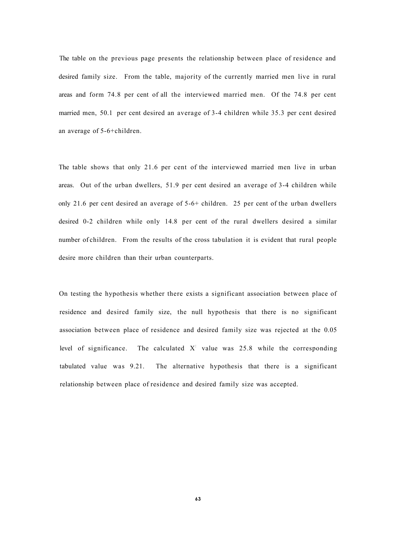The table on the previous page presents the relationship between place of residence and desired family size. From the table, majority of the currently married men live in rural areas and form 74.8 per cent of all the interviewed married men. Of the 74.8 per cent married men, 50.1 per cent desired an average of 3-4 children while 35.3 per cent desired an average of 5-6+children.

The table shows that only 21.6 per cent of the interviewed married men live in urban areas. Out of the urban dwellers, 51.9 per cent desired an average of 3-4 children while only 21.6 per cent desired an average of 5-6+ children. 25 per cent of the urban dwellers desired 0-2 children while only 14.8 per cent of the rural dwellers desired a similar number of children. From the results of the cross tabulation it is evident that rural people desire more children than their urban counterparts.

On testing the hypothesis whether there exists a significant association between place of residence and desired family size, the null hypothesis that there is no significant association between place of residence and desired family size was rejected at the 0.05 level of significance. The calculated  $X<sup>i</sup>$  value was 25.8 while the corresponding tabulated value was 9.21. The alternative hypothesis that there is a significant relationship between place of residence and desired family size was accepted.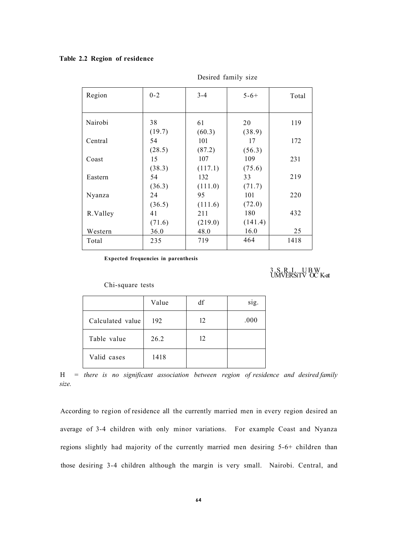# **Table 2.2 Region of residence**

| Region   | $0 - 2$ | $3 - 4$ | $5 - 6 +$ | Total |
|----------|---------|---------|-----------|-------|
|          |         |         |           |       |
|          |         |         |           |       |
| Nairobi  | 38      | 61      | 20        | 119   |
|          |         |         |           |       |
|          | (19.7)  | (60.3)  | (38.9)    |       |
| Central  | 54      | 101     | 17        | 172   |
|          | (28.5)  | (87.2)  | (56.3)    |       |
| Coast    | 15      | 107     | 109       | 231   |
|          | (38.3)  | (117.1) | (75.6)    |       |
| Eastern  | 54      | 132     | 33        | 219   |
|          | (36.3)  | (111.0) | (71.7)    |       |
| Nyanza   | 24      | 95      | 101       | 220   |
|          | (36.5)  | (111.6) | (72.0)    |       |
| R.Valley | 41      | 211     | 180       | 432   |
|          | (71.6)  | (219.0) | (141.4)   |       |
| Western  | 36.0    | 48.0    | 16.0      | 25    |
| Total    | 235     | 719     | 464       | 1418  |
|          |         |         |           |       |

Desired family size

**Expected frequencies in parenthesis** 

3. S. R. I. UB W<br>UMVERSITV OC K-at

# Chi-square tests

|                  | Value | df | sig. |
|------------------|-------|----|------|
| Calculated value | 192   | 12 | .000 |
| Table value      | 26.2  | 12 |      |
| Valid cases      | 1418  |    |      |

H = *there is no significant association between region of residence and desired family size.* 

According to region of residence all the currently married men in every region desired an average of 3-4 children with only minor variations. For example Coast and Nyanza regions slightly had majority of the currently married men desiring 5-6+ children than those desiring 3-4 children although the margin is very small. Nairobi. Central, and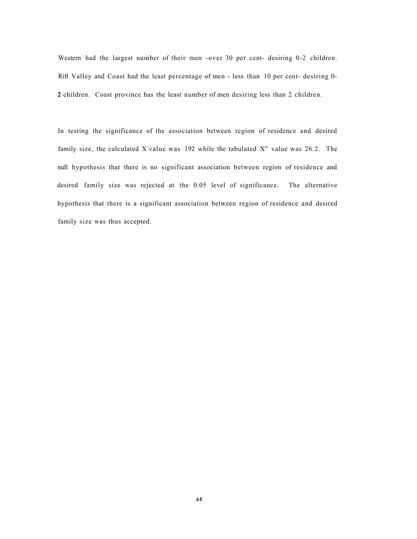Western had the largest number of their men -over 30 per cent- desiring 0-2 children. Rift Valley and Coast had the least percentage of men - less than 10 per cent- desiring 0- **2** children. Coast province has the least number of men desiring less than 2 children.

In testing the significance of the association between region of residence and desired family size, the calculated X value was 192 while the tabulated  $X''$  value was 26.2. The null hypothesis that there is no significant association between region of residence and desired family size was rejected at the 0.05 level of significance. The alternative hypothesis that there is a significant association between region of residence and desired family size was thus accepted.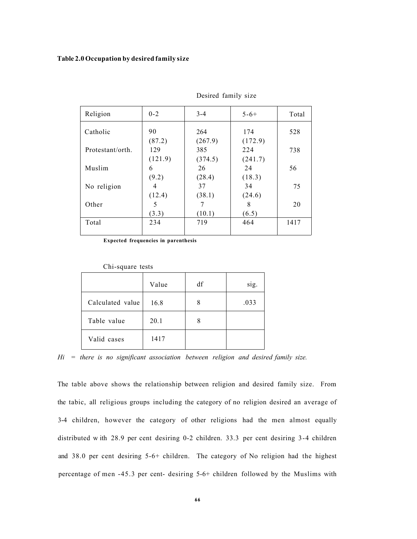#### **Table 2.0 Occupation by desired family size**

| Religion         | $0 - 2$ | $3 - 4$ | $5 - 6 +$ | Total |
|------------------|---------|---------|-----------|-------|
| Catholic         | 90      | 264     | 174       | 528   |
|                  | (87.2)  | (267.9) | (172.9)   |       |
| Protestant/orth. | 129     | 385     | 224       | 738   |
|                  | (121.9) | (374.5) | (241.7)   |       |
| Muslim           | 6       | 26      | 24        | 56    |
|                  | (9.2)   | (28.4)  | (18.3)    |       |
| No religion      | 4       | 37      | 34        | 75    |
|                  | (12.4)  | (38.1)  | (24.6)    |       |
| Other            | 5       |         | 8         | 20    |
|                  | (3.3)   | (10.1)  | (6.5)     |       |
| Total            | 234     | 719     | 464       | 1417  |
|                  |         |         |           |       |

Desired family size

**Expected frequencies in parenthesis** 

| Car bythe tools  |       |    |      |  |  |  |
|------------------|-------|----|------|--|--|--|
|                  | Value | df | sig. |  |  |  |
| Calculated value | 16.8  | 8  | .033 |  |  |  |
| Table value      | 20.1  | 8  |      |  |  |  |
| Valid cases      | 1417  |    |      |  |  |  |

Chi-square tests

*Hi = there is no significant association between religion and desired family size.* 

The table above shows the relationship between religion and desired family size. From the tabic, all religious groups including the category of no religion desired an average of 3-4 children, however the category of other religions had the men almost equally distributed w ith 28.9 per cent desiring 0-2 children. 33.3 per cent desiring 3-4 children and 38.0 per cent desiring 5-6+ children. The category of No religion had the highest percentage of men -45.3 per cent- desiring 5-6+ children followed by the Muslims with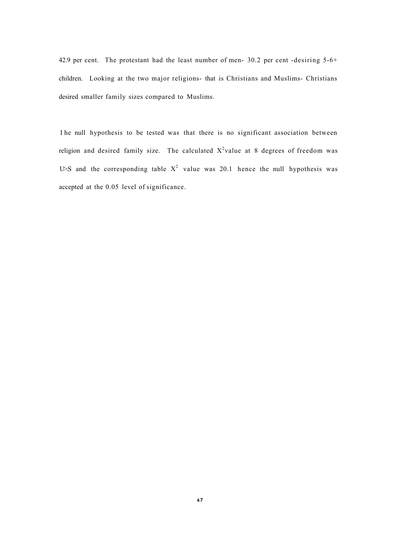42.9 per cent. The protestant had the least number of men- 30.2 per cent -desiring 5-6+ children. Looking at the two major religions- that is Christians and Muslims- Christians desired smaller family sizes compared to Muslims.

I he null hypothesis to be tested was that there is no significant association between religion and desired family size. The calculated  $X^2$ value at 8 degrees of freedom was U S and the corresponding table  $X^2$  value was 20.1 hence the null hypothesis was accepted at the 0.05 level of significance.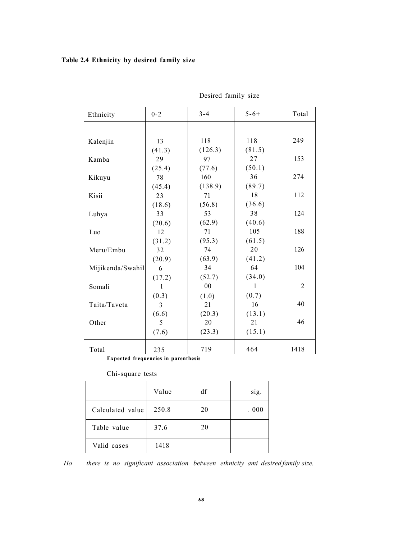# **Table 2.4 Ethnicity by desired family size**

| Ethnicity        | $0 - 2$      | $3 - 4$ | $5 - 6 +$    | Total          |
|------------------|--------------|---------|--------------|----------------|
|                  |              |         |              |                |
| Kalenjin         | 13           | 118     | 118          | 249            |
|                  | (41.3)       | (126.3) | (81.5)       |                |
| Kamba            | 29           | 97      | 27           | 153            |
|                  | (25.4)       | (77.6)  | (50.1)       |                |
| Kikuyu           | 78           | 160     | 36           | 274            |
|                  | (45.4)       | (138.9) | (89.7)       |                |
| Kisii            | 23           | 71      | 18           | 112            |
|                  | (18.6)       | (56.8)  | (36.6)       |                |
| Luhya            | 33           | 53      | 38           | 124            |
|                  | (20.6)       | (62.9)  | (40.6)       |                |
| Luo              | 12           | 71      | 105          | 188            |
|                  | (31.2)       | (95.3)  | (61.5)       |                |
| Meru/Embu        | 32           | 74      | 20           | 126            |
|                  | (20.9)       | (63.9)  | (41.2)       |                |
| Mijikenda/Swahil | 6            | 34      | 64           | 104            |
|                  | (17.2)       | (52.7)  | (34.0)       |                |
| Somali           | $\mathbf{1}$ | 00      | $\mathbf{1}$ | $\overline{2}$ |
|                  | (0.3)        | (1.0)   | (0.7)        |                |
| Taita/Taveta     | 3            | 21      | 16           | 40             |
|                  | (6.6)        | (20.3)  | (13.1)       |                |
| Other            | 5            | 20      | 21           | 46             |
|                  | (7.6)        | (23.3)  | (15.1)       |                |
| Total            | 235          | 719     | 464          | 1418           |

Desired family size

**Expected frequencies in parenthesis** 

Chi-square tests

|                  | Value | df | sig. |
|------------------|-------|----|------|
| Calculated value | 250.8 | 20 | .000 |
| Table value      | 37.6  | 20 |      |
| Valid cases      | 1418  |    |      |

*Ho there is no significant association between ethnicity ami desired family size.*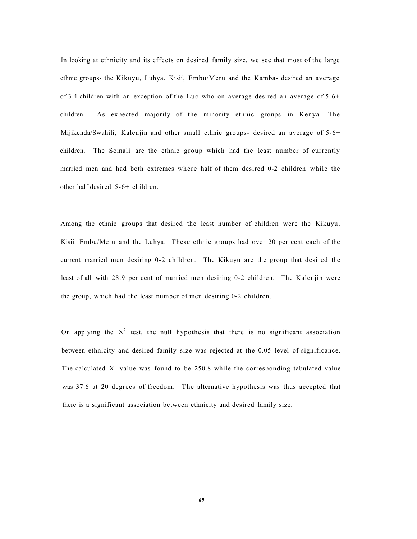In looking at ethnicity and its effects on desired family size, we see that most of the large ethnic groups- the Kikuyu, Luhya. Kisii, Embu/Meru and the Kamba- desired an average of 3-4 children with an exception of the Luo who on average desired an average of 5-6+ children. As expected majority of the minority ethnic groups in Kenya- The Mijikcnda/Swahili, Kalenjin and other small ethnic groups- desired an average of 5-6+ children. The Somali are the ethnic group which had the least number of currently married men and had both extremes where half of them desired 0-2 children while the other half desired 5-6+ children.

Among the ethnic groups that desired the least number of children were the Kikuyu, Kisii. Embu/Meru and the Luhya. These ethnic groups had over 20 per cent each of the current married men desiring 0-2 children. The Kikuyu are the group that desired the least of all with 28.9 per cent of married men desiring 0-2 children. The Kalenjin were the group, which had the least number of men desiring 0-2 children.

On applying the  $X^2$  test, the null hypothesis that there is no significant association between ethnicity and desired family size was rejected at the 0.05 level of significance. The calculated  $X<sup>1</sup>$  value was found to be 250.8 while the corresponding tabulated value was 37.6 at 20 degrees of freedom. The alternative hypothesis was thus accepted that there is a significant association between ethnicity and desired family size.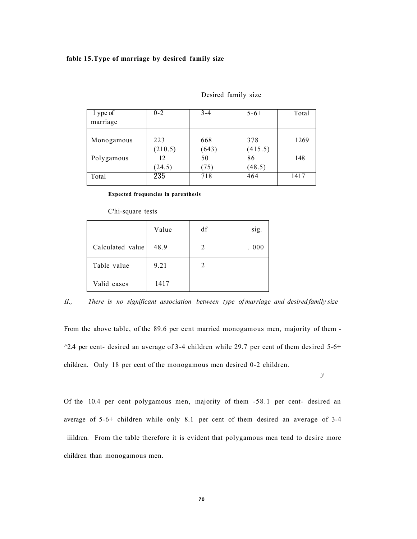# **fable 15.Type of marriage by desired family size**

| 1 ype of   | $0 - 2$ | $3 - 4$ | $5 - 6 +$ | Total |
|------------|---------|---------|-----------|-------|
| marriage   |         |         |           |       |
| Monogamous | 223     | 668     | 378       | 1269  |
|            | (210.5) | (643)   | (415.5)   |       |
| Polygamous | 12      | 50      | 86        | 148   |
|            | (24.5)  | (75)    | (48.5)    |       |
| Total      | 235     | 718     | 464       | 1417  |

#### Desired family size

**Expected frequencies in parenthesis** 

#### C'hi-square tests

|                  | Value | df | sig.  |
|------------------|-------|----|-------|
| Calculated value | 48.9  | 2  | . 000 |
| Table value      | 9.21  | 2  |       |
| Valid cases      | 1417  |    |       |

# *II., There is no significant association between type of marriage and desired family size*

From the above table, of the 89.6 per cent married monogamous men, majority of them -  $^{\circ}2.4$  per cent- desired an average of 3-4 children while 29.7 per cent of them desired 5-6+ children. Only 18 per cent of the monogamous men desired 0-2 children.

*y* 

Of the 10.4 per cent polygamous men, majority of them -58.1 per cent- desired an average of 5-6+ children while only 8.1 per cent of them desired an average of 3-4 iiildren. From the table therefore it is evident that polygamous men tend to desire more children than monogamous men.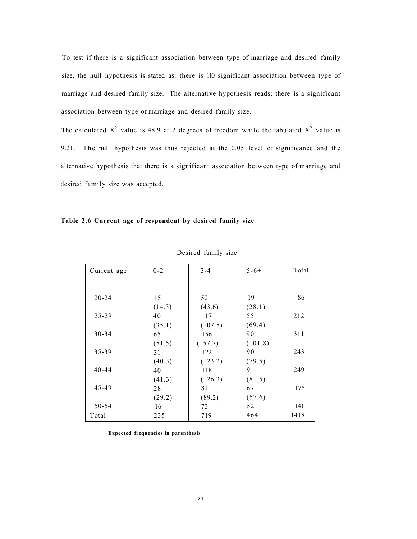To test if there is a significant association between type of marriage and desired family size, the null hypothesis is stated as: there is 110 significant association between type of marriage and desired family size. The alternative hypothesis reads; there is a significant association between type of marriage and desired family size.

The calculated  $X^2$  value is 48.9 at 2 degrees of freedom while the tabulated  $X^2$  value is 9.21. The null hypothesis was thus rejected at the 0.05 level of significance and the alternative hypothesis that there is a significant association between type of marriage and desired family size was accepted.

# **Table 2.6 Current age of respondent by desired family size**

| Current age | $0 - 2$ | $3 - 4$ | $5 - 6 +$ | Total |
|-------------|---------|---------|-----------|-------|
|             |         |         |           |       |
|             |         |         |           |       |
| $20 - 24$   | 15      | 52      | 19        | 86    |
|             | (14.3)  | (43.6)  | (28.1)    |       |
| $25 - 29$   | 40      | 117     | 55        | 212   |
|             | (35.1)  | (107.5) | (69.4)    |       |
| $30 - 34$   | 65      | 156     | 90        | 311   |
|             | (51.5)  | (157.7) | (101.8)   |       |
| 35-39       | 31      | 122     | 90        | 243   |
|             | (40.3)  | (123.2) | (79.5)    |       |
| $40 - 44$   | 40      | 118     | 91        | 249   |
|             | (41.3)  | (126.3) | (81.5)    |       |
| 45-49       | 28      | 81      | 67        | 176   |
|             | (29.2)  | (89.2)  | (57.6)    |       |
| 50-54       | 16      | 73      | 52        | 141   |
| Total       | 235     | 719     | 464       | 1418  |

Desired family size

**Expected frequencies in parenthesis**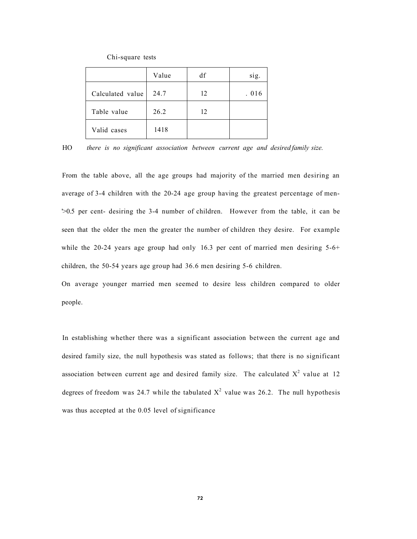Chi-square tests

|                  | Value | df | sig.  |
|------------------|-------|----|-------|
| Calculated value | 24.7  | 12 | . 016 |
| Table value      | 26.2  | 12 |       |
| Valid cases      | 1418  |    |       |

HO *there is no significant association between current age and desired family size.* 

From the table above, all the age groups had majority of the married men desiring an average of 3-4 children with the 20-24 age group having the greatest percentage of men- '>0.5 per cent- desiring the 3-4 number of children. However from the table, it can be seen that the older the men the greater the number of children they desire. For example while the 20-24 years age group had only 16.3 per cent of married men desiring  $5-6+$ children, the 50-54 years age group had 36.6 men desiring 5-6 children.

On average younger married men seemed to desire less children compared to older people.

In establishing whether there was a significant association between the current age and desired family size, the null hypothesis was stated as follows; that there is no significant association between current age and desired family size. The calculated  $X^2$  value at 12 degrees of freedom was 24.7 while the tabulated  $X^2$  value was 26.2. The null hypothesis was thus accepted at the 0.05 level of significance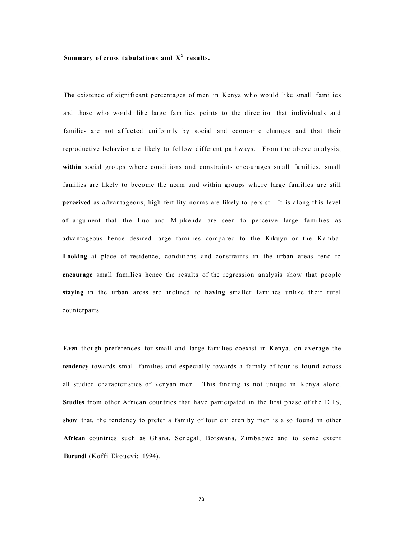# Summary of cross tabulations and  $X^2$  results.

**The** existence of significant percentages of men in Kenya who would like small families and those who would like large families points to the direction that individuals and families are not affected uniformly by social and economic changes and that their reproductive behavior are likely to follow different pathways. From the above analysis, **within** social groups where conditions and constraints encourages small families, small families are likely to become the norm and within groups where large families are still **perceived** as advantageous, high fertility norms are likely to persist. It is along this level **of** argument that the Luo and Mijikenda are seen to perceive large families as advantageous hence desired large families compared to the Kikuyu or the Kamba. **Looking** at place of residence, conditions and constraints in the urban areas tend to **encourage** small families hence the results of the regression analysis show that people **staying** in the urban areas are inclined to **having** smaller families unlike their rural counterparts.

**F.ven** though preferences for small and large families coexist in Kenya, on average the **tendency** towards small families and especially towards a family of four is found across all studied characteristics of Kenyan men. This finding is not unique in Kenya alone. **Studies** from other African countries that have participated in the first phase of the DHS, **show** that, the tendency to prefer a family of four children by men is also found in other **African** countries such as Ghana, Senegal, Botswana, Zimbabwe and to some extent **Burundi** (Koffi Ekouevi; 1994).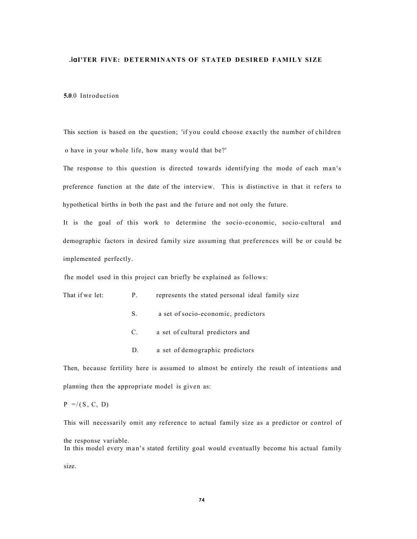#### **.iaI'TER FIVE: DETERMINANTS OF STATED DESIRED FAMILY SIZE**

#### **5.0**.0 Introduction

This section is based on the question; 'if you could choose exactly the number of children o have in your whole life, how many would that be?'

The response to this question is directed towards identifying the mode of each man's preference function at the date of the interview. This is distinctive in that it refers to hypothetical births in both the past and the future and not only the future.

It is the goal of this work to determine the socio-economic, socio-cultural and demographic factors in desired family size assuming that preferences will be or could be implemented perfectly.

fhe model used in this project can briefly be explained as follows:

| That if we let: |  | represents the stated personal ideal family size |  |  |
|-----------------|--|--------------------------------------------------|--|--|
|-----------------|--|--------------------------------------------------|--|--|

- S. a set of socio-economic, predictors
- C. a set of cultural predictors and
- D. a set of demographic predictors

Then, because fertility here is assumed to almost be entirely the result of intentions and planning then the appropriate model is given as:

# $P = / (S, C, D)$

This will necessarily omit any reference to actual family size as a predictor or control of

the response variable. In this model every man's stated fertility goal would eventually become his actual family

size.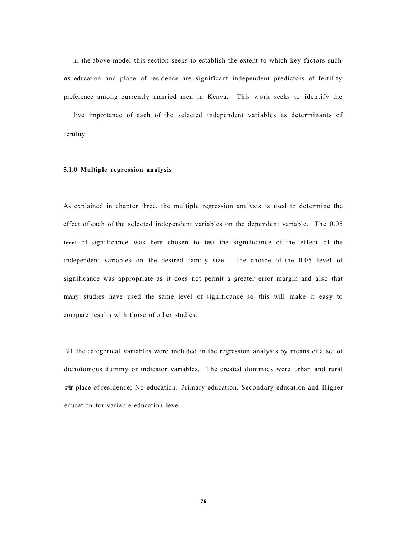ni the above model this section seeks to establish the extent to which key factors such **as** education and place of residence are significant independent predictors of fertility preference among currently married men in Kenya. This work seeks to identify the

live importance of each of the selected independent variables as determinants of fertility.

# **5.1.0 Multiple regression analysis**

As explained in chapter three, the multiple regression analysis is used to determine the effect of each of the selected independent variables on the dependent variable. The 0.05 **level** of significance was here chosen to test the significance of the effect of the independent variables on the desired family size. The choice of the 0.05 level of significance was appropriate as it does not permit a greater error margin and also that many studies have used the same level of significance so this will make it easy to compare results with those of other studies.

\I1 the categorical variables were included in the regression analysis by means of a set of dichotomous dummy or indicator variables. The created dummies were urban and rural **:>ir** place of residence; No education. Primary education. Secondary education and Higher education for variable education level.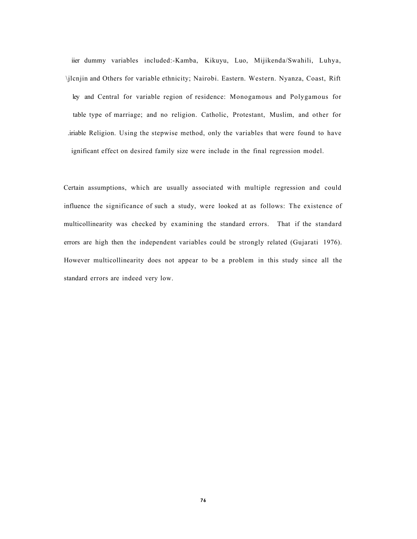iier dummy variables included:-Kamba, Kikuyu, Luo, Mijikenda/Swahili, Luhya, \jlcnjin and Others for variable ethnicity; Nairobi. Eastern. Western. Nyanza, Coast, Rift ley and Central for variable region of residence: Monogamous and Polygamous for table type of marriage; and no religion. Catholic, Protestant, Muslim, and other for .iriable Religion. Using the stepwise method, only the variables that were found to have ignificant effect on desired family size were include in the final regression model.

Certain assumptions, which are usually associated with multiple regression and could influence the significance of such a study, were looked at as follows: The existence of multicollinearity was checked by examining the standard errors. That if the standard errors are high then the independent variables could be strongly related (Gujarati 1976). However multicollinearity does not appear to be a problem in this study since all the standard errors are indeed very low.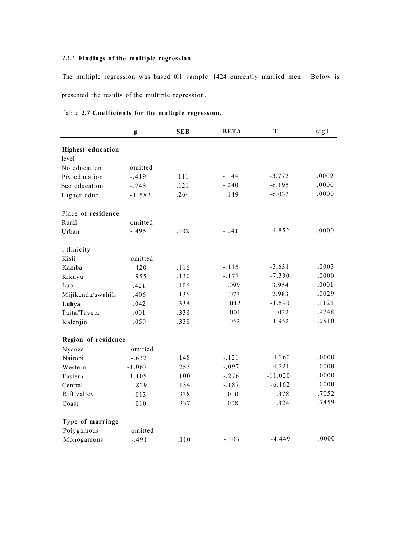# **?.!.! Findings of the multiple regression**

The multiple regression was based 011 sample 1424 currently married men. Below is presented the results of the multiple regression.

# fable **2.7 Coefficients for the multiple regression.**

|                          | $\boldsymbol{\mathrm{p}}$ | <b>SEB</b> | <b>BETA</b> | T         | sigT  |
|--------------------------|---------------------------|------------|-------------|-----------|-------|
| <b>Highest education</b> |                           |            |             |           |       |
| level                    |                           |            |             |           |       |
| No education             | omitted                   |            |             |           |       |
| Pry education            | $-.419$                   | .111       | $-.144$     | $-3.772$  | .0002 |
| Sec education            | $-.748$                   | .121       | $-.240$     | $-6.195$  | .0000 |
| Higher cduc.             | $-1.583$                  | .264       | $-.149$     | $-6.033$  | .0000 |
| Place of residence       |                           |            |             |           |       |
| Rural                    | omitted                   |            |             |           |       |
| Urban                    | $-.495$                   | .102       | $-.141$     | $-4.852$  | .0000 |
| <i>i</i> .tlinicity      |                           |            |             |           |       |
| Kisii                    | omitted                   |            |             |           |       |
| Kamba                    | $-.420$                   | .116       | $-.115$     | $-3.631$  | .0003 |
| Kikuyu                   | $-.955$                   | .130       | $-.177$     | $-7.330$  | .0000 |
| Luo                      | .421                      | .106       | .099        | 3.954     | .0001 |
| Mijikenda/swahili        | .406                      | .136       | .073        | 2.983     | .0029 |
| Luhya                    | .042                      | .338       | $-.042$     | $-1.590$  | .1121 |
| Taita/Taveta             | .001                      | .338       | $-.001$     | .032      | .9748 |
| Kalenjin                 | .059                      | .338       | .052        | 1.952     | .0510 |
| Region of residence      |                           |            |             |           |       |
| Nyanza                   | omitted                   |            |             |           |       |
| Nairobi                  | $-.632$                   | .148       | $-.121$     | $-4.260$  | .0000 |
| Western                  | $-1.067$                  | .253       | $-.097$     | $-4.221$  | .0000 |
| Eastern                  | $-1.105$                  | .100       | $-.276$     | $-11.020$ | .0000 |
| Central                  | $-.829$                   | .134       | $-.187$     | $-6.162$  | .0000 |
| Rift valley              | .013                      | .338       | .010        | .378      | .7052 |
| Coast                    | .010                      | .337       | .008        | .324      | .7459 |
| Type of marriage         |                           |            |             |           |       |
| Polygamous               | omitted                   |            |             |           |       |
| Monogamous               | $-.491$                   | .110       | $-.103$     | $-4.449$  | .0000 |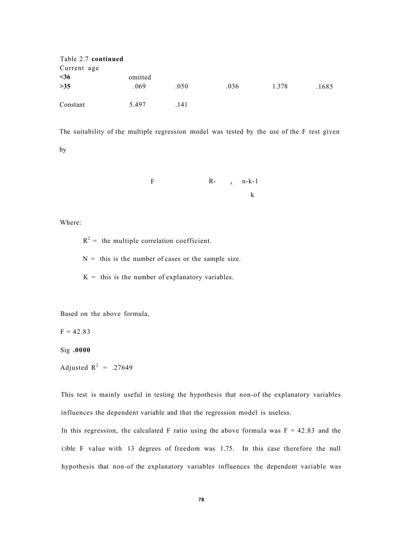| Table 2.7 continued |         |      |      |       |       |
|---------------------|---------|------|------|-------|-------|
| Current age         |         |      |      |       |       |
| $36$                | omitted |      |      |       |       |
| >35                 | .069    | .050 | .036 | 1.378 | .1685 |
| Constant            | 5.497   | .141 |      |       |       |

The suitability of the multiple regression model was tested by the use of the F test given

by

$$
\begin{array}{cccc}\nF & R- & x & n-k-1 \\
& k & & \n\end{array}
$$

Where:

 $R^2$  = the multiple correlation coefficient.

 $N =$  this is the number of cases or the sample size.

 $K =$  this is the number of explanatory variables.

Based on the above formula,

 $F = 42.83$ 

Sig **.0000** 

Adjusted  $R^2$  = .27649

This test is mainly useful in testing the hypothesis that non-of the explanatory variables influences the dependent variable and that the regression model is useless.

In this regression, the calculated F ratio using the above formula was  $F = 42.83$  and the i:ible F value with 13 degrees of freedom was 1.75. In this case therefore the null hypothesis that non-of the explanatory variables influences the dependent variable was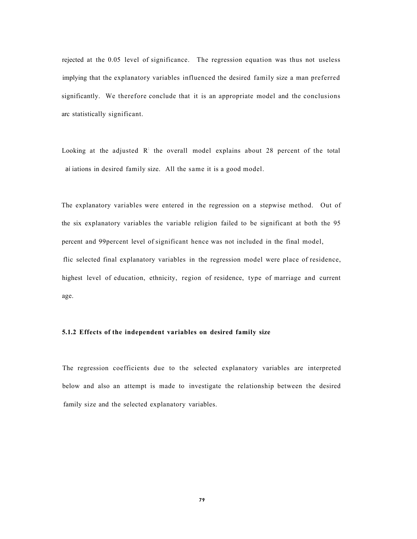rejected at the 0.05 level of significance. The regression equation was thus not useless implying that the explanatory variables influenced the desired family size a man preferred significantly. We therefore conclude that it is an appropriate model and the conclusions arc statistically significant.

Looking at the adjusted  $\overline{R}$  the overall model explains about 28 percent of the total ai iations in desired family size. All the same it is a good model.

The explanatory variables were entered in the regression on a stepwise method. Out of the six explanatory variables the variable religion failed to be significant at both the 95 percent and 99percent level of significant hence was not included in the final model, flic selected final explanatory variables in the regression model were place of residence, highest level of education, ethnicity, region of residence, type of marriage and current age.

#### **5.1.2 Effects of the independent variables on desired family size**

The regression coefficients due to the selected explanatory variables are interpreted below and also an attempt is made to investigate the relationship between the desired family size and the selected explanatory variables.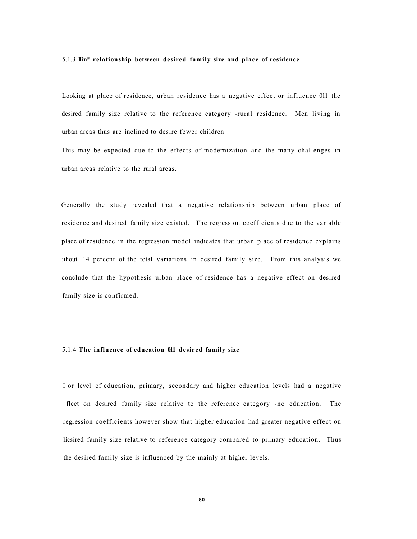#### 5.1.3 **Tin\* relationship between desired family size and place of residence**

Looking at place of residence, urban residence has a negative effect or influence 011 the desired family size relative to the reference category -rural residence. Men living in urban areas thus are inclined to desire fewer children.

This may be expected due to the effects of modernization and the many challenges in urban areas relative to the rural areas.

Generally the study revealed that a negative relationship between urban place of residence and desired family size existed. The regression coefficients due to the variable place of residence in the regression model indicates that urban place of residence explains ;ihout 14 percent of the total variations in desired family size. From this analysis we conclude that the hypothesis urban place of residence has a negative effect on desired family size is confirmed.

## 5.1.4 **The influence of education 011 desired family size**

I or level of education, primary, secondary and higher education levels had a negative fleet on desired family size relative to the reference category -no education. The regression coefficients however show that higher education had greater negative effect on licsired family size relative to reference category compared to primary education. Thus the desired family size is influenced by the mainly at higher levels.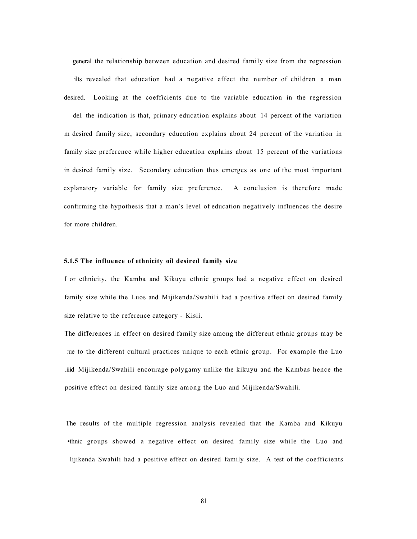general the relationship between education and desired family size from the regression ilts revealed that education had a negative effect the number of children a man desired. Looking at the coefficients due to the variable education in the regression

del. the indication is that, primary education explains about 14 percent of the variation m desired family size, secondary education explains about 24 perccnt of the variation in family size preference while higher education explains about 15 percent of the variations in desired family size. Secondary education thus emerges as one of the most important explanatory variable for family size preference. A conclusion is therefore made confirming the hypothesis that a man's level of education negatively influences the desire for more children.

#### **5.1.5 The influence of ethnicity oil desired family size**

I or ethnicity, the Kamba and Kikuyu ethnic groups had a negative effect on desired family size while the Luos and Mijikenda/Swahili had a positive effect on desired family size relative to the reference category - Kisii.

The differences in effect on desired family size among the different ethnic groups may be :ue to the different cultural practices unique to each ethnic group. For example the Luo .iiid Mijikenda/Swahili encourage polygamy unlike the kikuyu and the Kambas hence the positive effect on desired family size among the Luo and Mijikenda/Swahili.

The results of the multiple regression analysis revealed that the Kamba and Kikuyu •thnic groups showed a negative effect on desired family size while the Luo and lijikenda Swahili had a positive effect on desired family size. A test of the coefficients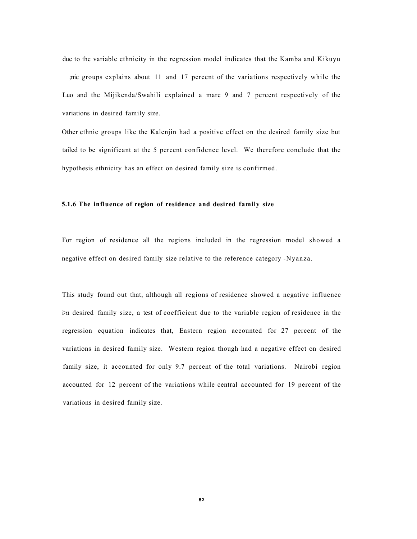due to the variable ethnicity in the regression model indicates that the Kamba and Kikuyu ;nic groups explains about 11 and 17 percent of the variations respectively while the Luo and the Mijikenda/Swahili explained a mare 9 and 7 percent respectively of the variations in desired family size.

Other ethnic groups like the Kalenjin had a positive effect on the desired family size but tailed to be significant at the 5 percent confidence level. We therefore conclude that the hypothesis ethnicity has an effect on desired family size is confirmed.

# **5.1.6 The influence of region of residence and desired family size**

For region of residence all the regions included in the regression model showed a negative effect on desired family size relative to the reference category -Nyanza.

This study found out that, although all regions of residence showed a negative influence i>n desired family size, a test of coefficient due to the variable region of residence in the regression equation indicates that, Eastern region accounted for 27 percent of the variations in desired family size. Western region though had a negative effect on desired family size, it accounted for only 9.7 percent of the total variations. Nairobi region accounted for 12 percent of the variations while central accounted for 19 percent of the variations in desired family size.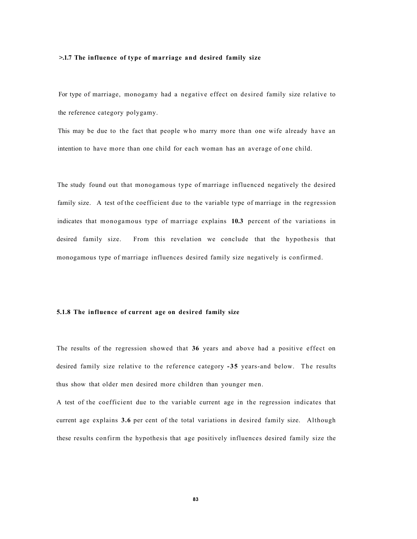#### **>.1.7 The influence of type of marriage and desired family size**

For type of marriage, monogamy had a negative effect on desired family size relative to the reference category polygamy.

This may be due to the fact that people who marry more than one wife already have an intention to have more than one child for each woman has an average of one child.

The study found out that monogamous type of marriage influenced negatively the desired family size. A test of the coefficient due to the variable type of marriage in the regression indicates that monogamous type of marriage explains **10.3** percent of the variations in desired family size. From this revelation we conclude that the hypothesis that monogamous type of marriage influences desired family size negatively is confirmed.

#### **5.1.8 The influence of current age on desired family size**

The results of the regression showed that **36** years and above had a positive effect on desired family size relative to the reference category **-35** years-and below. The results thus show that older men desired more children than younger men.

A test of the coefficient due to the variable current age in the regression indicates that current age explains **3.6** per cent of the total variations in desired family size. Although these results confirm the hypothesis that age positively influences desired family size the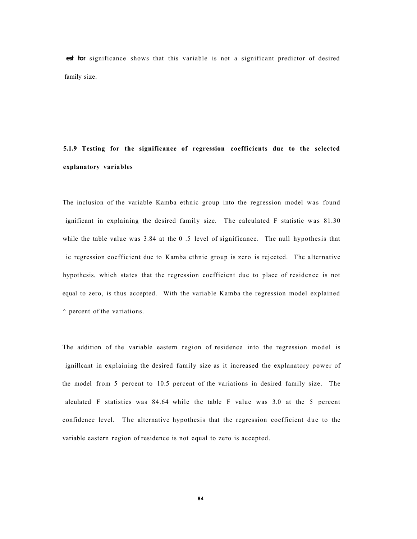**est tor** significance shows that this variable is not a significant predictor of desired family size.

# **5.1.9 Testing for the significance of regression coefficients due to the selected explanatory variables**

The inclusion of the variable Kamba ethnic group into the regression model was found ignificant in explaining the desired family size. The calculated  $F$  statistic was  $81.30$ while the table value was 3.84 at the 0.5 level of significance. The null hypothesis that ic regression coefficient due to Kamba ethnic group is zero is rejected. The alternative hypothesis, which states that the regression coefficient due to place of residence is not equal to zero, is thus accepted. With the variable Kamba the regression model explained  $\land$  percent of the variations.

The addition of the variable eastern region of residence into the regression model is ignillcant in explaining the desired family size as it increased the explanatory power of the model from 5 percent to 10.5 percent of the variations in desired family size. The alculated F statistics was 84.64 while the table F value was 3.0 at the 5 percent confidence level. The alternative hypothesis that the regression coefficient due to the variable eastern region of residence is not equal to zero is accepted.

**84**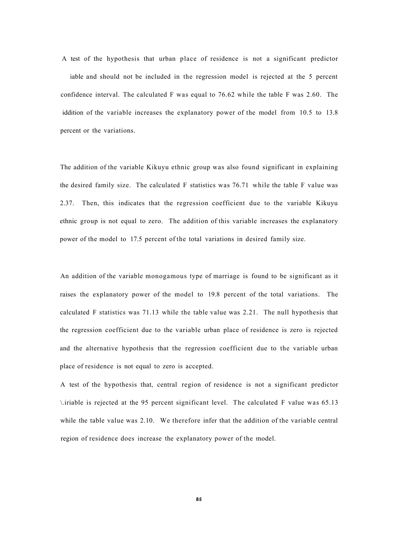A test of the hypothesis that urban place of residence is not a significant predictor iable and should not be included in the regression model is rejected at the 5 percent confidence interval. The calculated F was equal to 76.62 while the table F was 2.60. The iddition of the variable increases the explanatory power of the model from 10.5 to 13.8 percent or the variations.

The addition of the variable Kikuyu ethnic group was also found significant in explaining the desired family size. The calculated F statistics was 76.71 while the table F value was 2.37. Then, this indicates that the regression coefficient due to the variable Kikuyu ethnic group is not equal to zero. The addition of this variable increases the explanatory power of the model to 17.5 percent of the total variations in desired family size.

An addition of the variable monogamous type of marriage is found to be significant as it raises the explanatory power of the model to 19.8 percent of the total variations. The calculated F statistics was 71.13 while the table value was 2.21. The null hypothesis that the regression coefficient due to the variable urban place of residence is zero is rejected and the alternative hypothesis that the regression coefficient due to the variable urban place of residence is not equal to zero is accepted.

A test of the hypothesis that, central region of residence is not a significant predictor \.iriable is rejected at the 95 percent significant level. The calculated F value was 65.13 while the table value was 2.10. We therefore infer that the addition of the variable central region of residence does increase the explanatory power of the model.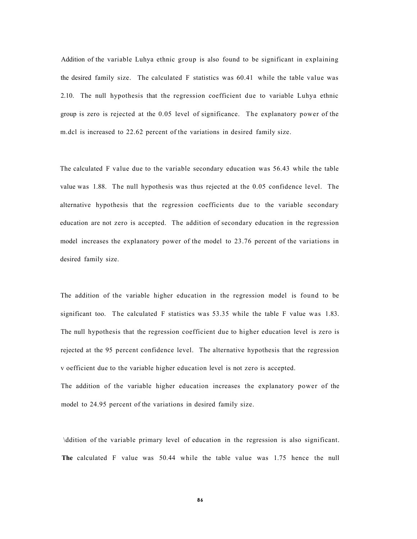Addition of the variable Luhya ethnic group is also found to be significant in explaining the desired family size. The calculated F statistics was 60.41 while the table value was 2.10. The null hypothesis that the regression coefficient due to variable Luhya ethnic group is zero is rejected at the 0.05 level of significance. The explanatory power of the m.dcl is increased to 22.62 percent of the variations in desired family size.

The calculated F value due to the variable secondary education was 56.43 while the table value was 1.88. The null hypothesis was thus rejected at the 0.05 confidence level. The alternative hypothesis that the regression coefficients due to the variable secondary education are not zero is accepted. The addition of secondary education in the regression model increases the explanatory power of the model to 23.76 percent of the variations in desired family size.

The addition of the variable higher education in the regression model is found to be significant too. The calculated F statistics was 53.35 while the table F value was 1.83. The null hypothesis that the regression coefficient due to higher education level is zero is rejected at the 95 percent confidence level. The alternative hypothesis that the regression v oefficient due to the variable higher education level is not zero is accepted. The addition of the variable higher education increases the explanatory power of the model to 24.95 percent of the variations in desired family size.

\ddition of the variable primary level of education in the regression is also significant. **The** calculated F value was 50.44 while the table value was 1.75 hence the null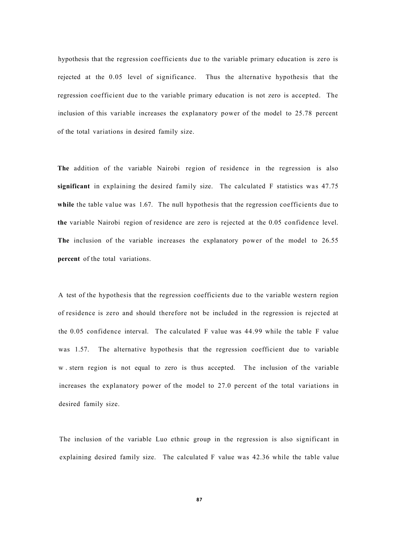hypothesis that the regression coefficients due to the variable primary education is zero is rejected at the 0.05 level of significance. Thus the alternative hypothesis that the regression coefficient due to the variable primary education is not zero is accepted. The inclusion of this variable increases the explanatory power of the model to 25.78 percent of the total variations in desired family size.

**The** addition of the variable Nairobi region of residence in the regression is also **significant** in explaining the desired family size. The calculated F statistics was 47.75 while the table value was 1.67. The null hypothesis that the regression coefficients due to **the** variable Nairobi region of residence are zero is rejected at the 0.05 confidence level. **The** inclusion of the variable increases the explanatory power of the model to 26.55 **percent** of the total variations.

A test of the hypothesis that the regression coefficients due to the variable western region of residence is zero and should therefore not be included in the regression is rejected at the 0.05 confidence interval. The calculated F value was 44.99 while the table F value was 1.57. The alternative hypothesis that the regression coefficient due to variable w . stern region is not equal to zero is thus accepted. The inclusion of the variable increases the explanatory power of the model to 27.0 percent of the total variations in desired family size.

The inclusion of the variable Luo ethnic group in the regression is also significant in explaining desired family size. The calculated F value was 42.36 while the table value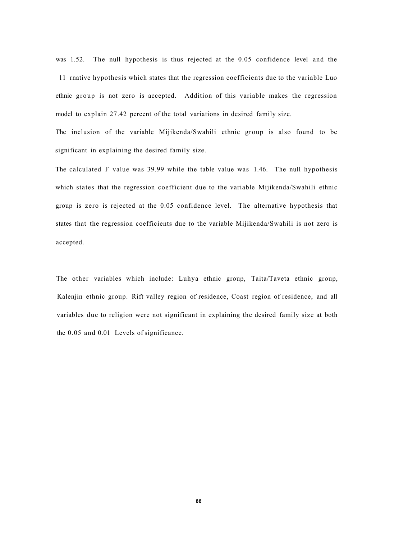was 1.52. The null hypothesis is thus rejected at the 0.05 confidence level and the 11 rnative hypothesis which states that the regression coefficients due to the variable Luo ethnic group is not zero is acceptcd. Addition of this variable makes the regression model to explain 27.42 percent of the total variations in desired family size.

The inclusion of the variable Mijikenda/Swahili ethnic group is also found to be significant in explaining the desired family size.

The calculated F value was 39.99 while the table value was 1.46. The null hypothesis which states that the regression coefficient due to the variable Mijikenda/Swahili ethnic group is zero is rejected at the 0.05 confidence level. The alternative hypothesis that states that the regression coefficients due to the variable Mijikenda/Swahili is not zero is accepted.

The other variables which include: Luhya ethnic group, Taita/Taveta ethnic group, Kalenjin ethnic group. Rift valley region of residence, Coast region of residence, and all variables due to religion were not significant in explaining the desired family size at both the 0.05 and 0.01 Levels of significance.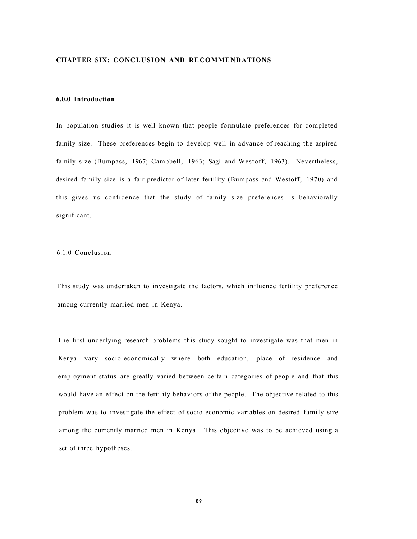# **CHAPTER SIX: CONCLUSION AND RECOMMENDATIONS**

# **6.0.0 Introduction**

In population studies it is well known that people formulate preferences for completed family size. These preferences begin to develop well in advance of reaching the aspired family size (Bumpass, 1967; Campbell, 1963; Sagi and Westoff, 1963). Nevertheless, desired family size is a fair predictor of later fertility (Bumpass and Westoff, 1970) and this gives us confidence that the study of family size preferences is behaviorally significant.

# 6.1.0 Conclusion

This study was undertaken to investigate the factors, which influence fertility preference among currently married men in Kenya.

The first underlying research problems this study sought to investigate was that men in Kenya vary socio-economically where both education, place of residence and employment status are greatly varied between certain categories of people and that this would have an effect on the fertility behaviors of the people. The objective related to this problem was to investigate the effect of socio-economic variables on desired family size among the currently married men in Kenya. This objective was to be achieved using a set of three hypotheses.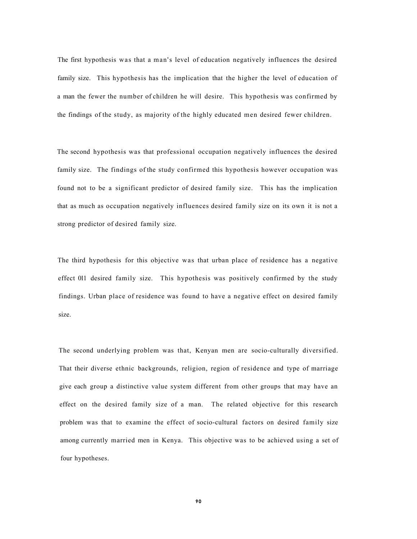The first hypothesis was that a man's level of education negatively influences the desired family size. This hypothesis has the implication that the higher the level of education of a man the fewer the number of children he will desire. This hypothesis was confirmed by the findings of the study, as majority of the highly educated men desired fewer children.

The second hypothesis was that professional occupation negatively influences the desired family size. The findings of the study confirmed this hypothesis however occupation was found not to be a significant predictor of desired family size. This has the implication that as much as occupation negatively influences desired family size on its own it is not a strong predictor of desired family size.

The third hypothesis for this objective was that urban place of residence has a negative effect 011 desired family size. This hypothesis was positively confirmed by the study findings. Urban place of residence was found to have a negative effect on desired family size.

The second underlying problem was that, Kenyan men are socio-culturally diversified. That their diverse ethnic backgrounds, religion, region of residence and type of marriage give each group a distinctive value system different from other groups that may have an effect on the desired family size of a man. The related objective for this research problem was that to examine the effect of socio-cultural factors on desired family size among currently married men in Kenya. This objective was to be achieved using a set of four hypotheses.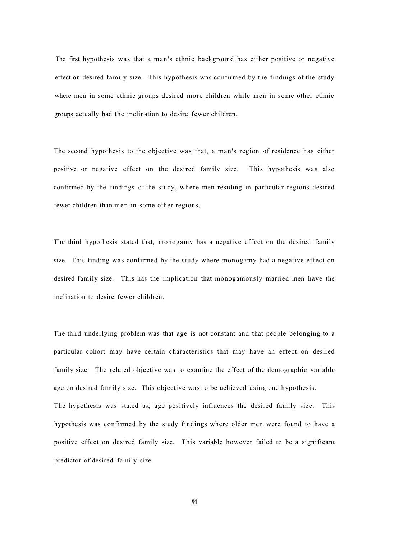The first hypothesis was that a man's ethnic background has either positive or negative effect on desired family size. This hypothesis was confirmed by the findings of the study where men in some ethnic groups desired more children while men in some other ethnic groups actually had the inclination to desire fewer children.

The second hypothesis to the objective was that, a man's region of residence has either positive or negative effect on the desired family size. This hypothesis was also confirmed hy the findings of the study, where men residing in particular regions desired fewer children than men in some other regions.

The third hypothesis stated that, monogamy has a negative effect on the desired family size. This finding was confirmed by the study where monogamy had a negative effect on desired family size. This has the implication that monogamously married men have the inclination to desire fewer children.

The third underlying problem was that age is not constant and that people belonging to a particular cohort may have certain characteristics that may have an effect on desired family size. The related objective was to examine the effect of the demographic variable age on desired family size. This objective was to be achieved using one hypothesis.

The hypothesis was stated as; age positively influences the desired family size. This hypothesis was confirmed by the study findings where older men were found to have a positive effect on desired family size. This variable however failed to be a significant predictor of desired family size.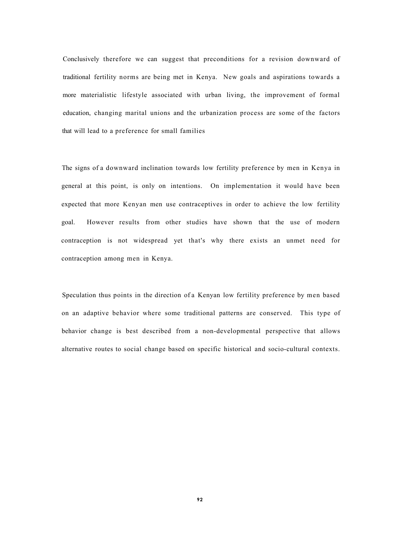Conclusively therefore we can suggest that preconditions for a revision downward of traditional fertility norms are being met in Kenya. New goals and aspirations towards a more materialistic lifestyle associated with urban living, the improvement of formal education, changing marital unions and the urbanization process are some of the factors that will lead to a preference for small families

The signs of a downward inclination towards low fertility preference by men in Kenya in general at this point, is only on intentions. On implementation it would have been expected that more Kenyan men use contraceptives in order to achieve the low fertility goal. However results from other studies have shown that the use of modern contraception is not widespread yet that's why there exists an unmet need for contraception among men in Kenya.

Speculation thus points in the direction of a Kenyan low fertility preference by men based on an adaptive behavior where some traditional patterns are conserved. This type of behavior change is best described from a non-developmental perspective that allows alternative routes to social change based on specific historical and socio-cultural contexts.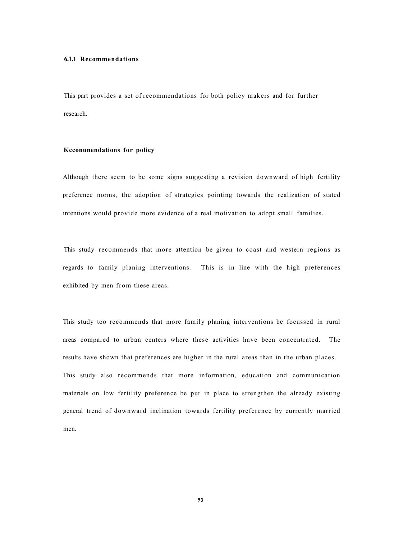#### **6.1.1 Recommendations**

This part provides a set of recommendations for both policy makers and for further research.

# **Kcconunendations for policy**

Although there seem to be some signs suggesting a revision downward of high fertility preference norms, the adoption of strategies pointing towards the realization of stated intentions would provide more evidence of a real motivation to adopt small families.

This study recommends that more attention be given to coast and western regions as regards to family planing interventions. This is in line with the high preferences exhibited by men from these areas.

This study too recommends that more family planing interventions be focussed in rural areas compared to urban centers where these activities have been concentrated. The results have shown that preferences are higher in the rural areas than in the urban places. This study also recommends that more information, education and communication materials on low fertility preference be put in place to strengthen the already existing general trend of downward inclination towards fertility preference by currently married men.

**93**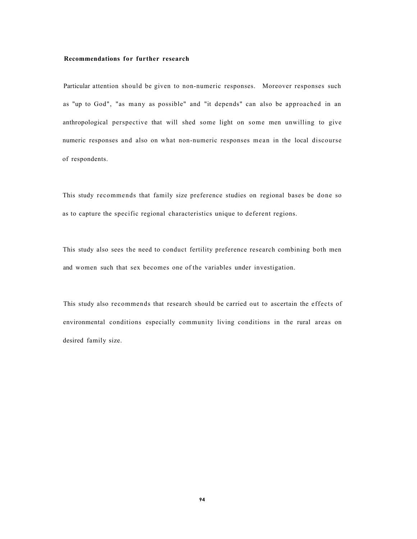#### **Recommendations for further research**

Particular attention should be given to non-numeric responses. Moreover responses such as "up to God", "as many as possible" and "it depends" can also be approached in an anthropological perspective that will shed some light on some men unwilling to give numeric responses and also on what non-numeric responses mean in the local discourse of respondents.

This study recommends that family size preference studies on regional bases be done so as to capture the specific regional characteristics unique to deferent regions.

This study also sees the need to conduct fertility preference research combining both men and women such that sex becomes one of the variables under investigation.

This study also recommends that research should be carried out to ascertain the effects of environmental conditions especially community living conditions in the rural areas on desired family size.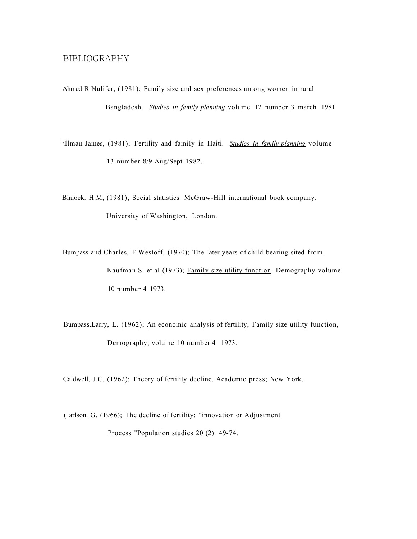# BIBLIOGRAPHY

Ahmed R Nulifer, (1981); Family size and sex preferences among women in rural Bangladesh. *Studies in family planning* volume 12 number 3 march 1981

\llman James, (1981); Fertility and family in Haiti. *Studies in family planning* volume 13 number 8/9 Aug/Sept 1982.

Blalock. H.M, (1981); Social statistics McGraw-Hill international book company. University of Washington, London.

Bumpass and Charles, F.Westoff, (1970); The later years of child bearing sited from Kaufman S. et al (1973); Family size utility function. Demography volume 10 number 4 1973.

Bumpass.Larry, L. (1962); An economic analysis of fertility, Family size utility function, Demography, volume 10 number 4 1973.

Caldwell, J.C, (1962); Theory of fertility decline. Academic press; New York.

( arlson. G. (1966); The decline of fertility: "innovation or Adjustment Process "Population studies 20 (2): 49-74.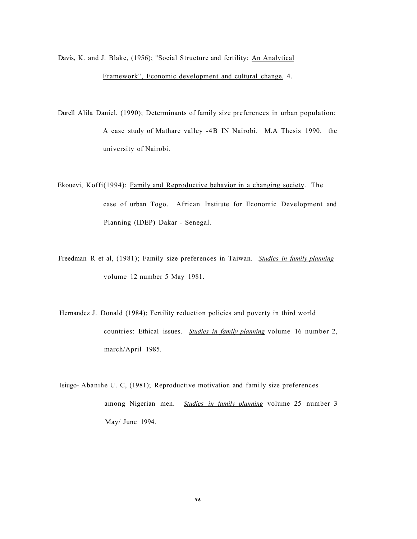Davis, K. and J. Blake, (1956); "Social Structure and fertility: An Analytical Framework", Economic development and cultural change. 4.

- Durell Alila Daniel, (1990); Determinants of family size preferences in urban population: A case study of Mathare valley -4B IN Nairobi. M.A Thesis 1990. the university of Nairobi.
- Ekouevi, Koffi(1994); Family and Reproductive behavior in a changing society. The case of urban Togo. African Institute for Economic Development and Planning (IDEP) Dakar - Senegal.
- Freedman R et al, (1981); Family size preferences in Taiwan. *Studies in family planning*  volume 12 number 5 May 1981.
- Hernandez J. Donald (1984); Fertility reduction policies and poverty in third world countries: Ethical issues. *Studies in family planning* volume 16 number 2, march/April 1985.

Isiugo- Abanihe U. C, (1981); Reproductive motivation and family size preferences among Nigerian men. *Studies in family planning* volume 25 number 3 May/ June 1994.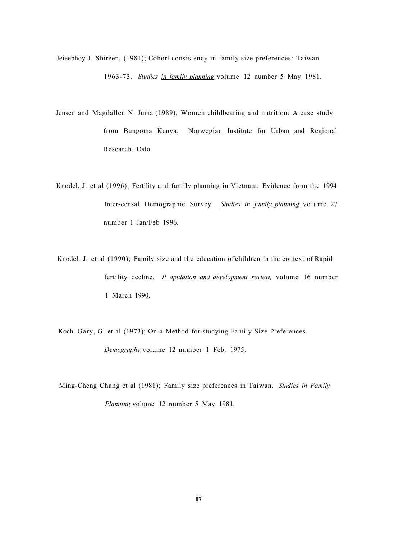- Jeieebhoy J. Shireen, (1981); Cohort consistency in family size preferences: Taiwan 1963-73. *Studies in family planning* volume 12 number 5 May 1981.
- Jensen and Magdallen N. Juma (1989); Women childbearing and nutrition: A case study from Bungoma Kenya. Norwegian Institute for Urban and Regional Research. Oslo.
- Knodel, J. et al (1996); Fertility and family planning in Vietnam: Evidence from the 1994 Inter-censal Demographic Survey. *Studies in family planning* volume 27 number 1 Jan/Feb 1996.
- Knodel. J. et al (1990); Family size and the education of children in the context of Rapid fertility decline. *P opulation and development review,* volume 16 number 1 March 1990.
- Koch. Gary, G. et al (1973); On a Method for studying Family Size Preferences. *Demography* volume 12 number 1 Feb. 1975.
- Ming-Cheng Chang et al (1981); Family size preferences in Taiwan. *Studies in Family Planning* volume 12 number 5 May 1981.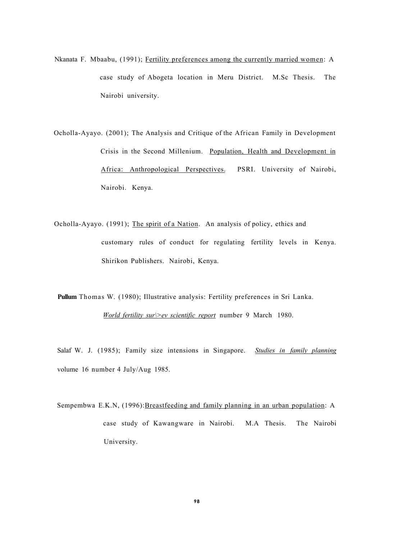- Nkanata F. Mbaabu, (1991); Fertility preferences among the currently married women: A case study of Abogeta location in Meru District. M.Sc Thesis. The Nairobi university.
- Ocholla-Ayayo. (2001); The Analysis and Critique of the African Family in Development Crisis in the Second Millenium. Population, Health and Development in Africa: Anthropological Perspectives. PSRI. University of Nairobi, Nairobi. Kenya.
- Ocholla-Ayayo. (1991); The spirit of a Nation. An analysis of policy, ethics and customary rules of conduct for regulating fertility levels in Kenya. Shirikon Publishers. Nairobi, Kenya.

**Pullum** Thomas W. (1980); Illustrative analysis: Fertility preferences in Sri Lanka. *World fertility sur\>ev scientific report* number 9 March 1980.

Salaf W. J. (1985); Family size intensions in Singapore. *Studies in family planning*  volume 16 number 4 July/Aug 1985.

Sempembwa E.K.N, (1996):Breastfeeding and family planning in an urban population: A case study of Kawangware in Nairobi. M.A Thesis. The Nairobi University.